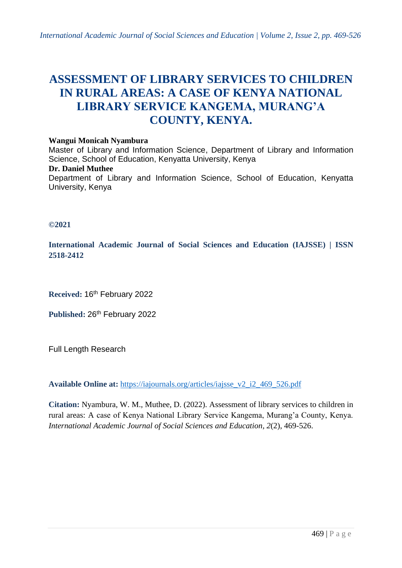# **ASSESSMENT OF LIBRARY SERVICES TO CHILDREN IN RURAL AREAS: A CASE OF KENYA NATIONAL LIBRARY SERVICE KANGEMA, MURANG'A COUNTY, KENYA.**

#### **Wangui Monicah Nyambura**

Master of Library and Information Science, Department of Library and Information Science, School of Education, Kenyatta University, Kenya

#### **Dr. Daniel Muthee**

Department of Library and Information Science, School of Education, Kenyatta University, Kenya

#### **©2021**

**International Academic Journal of Social Sciences and Education (IAJSSE) | ISSN 2518-2412**

**Received:** 16th February 2022

Published: 26<sup>th</sup> February 2022

Full Length Research

**Available Online at:** [https://iajournals.org/articles/iajsse\\_v2\\_i2\\_469\\_526.pdf](https://iajournals.org/articles/iajsse_v2_i2_469_526.pdf)

**Citation:** Nyambura, W. M., Muthee, D. (2022). Assessment of library services to children in rural areas: A case of Kenya National Library Service Kangema, Murang'a County, Kenya. *International Academic Journal of Social Sciences and Education, 2*(2), 469-526.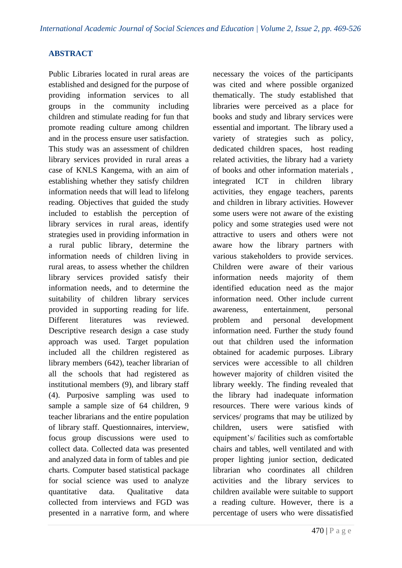# **ABSTRACT**

Public Libraries located in rural areas are established and designed for the purpose of providing information services to all groups in the community including children and stimulate reading for fun that promote reading culture among children and in the process ensure user satisfaction. This study was an assessment of children library services provided in rural areas a case of KNLS Kangema, with an aim of establishing whether they satisfy children information needs that will lead to lifelong reading. Objectives that guided the study included to establish the perception of library services in rural areas, identify strategies used in providing information in a rural public library, determine the information needs of children living in rural areas, to assess whether the children library services provided satisfy their information needs, and to determine the suitability of children library services provided in supporting reading for life. Different literatures was reviewed. Descriptive research design a case study approach was used. Target population included all the children registered as library members (642), teacher librarian of all the schools that had registered as institutional members (9), and library staff (4). Purposive sampling was used to sample a sample size of 64 children, 9 teacher librarians and the entire population of library staff. Questionnaires, interview, focus group discussions were used to collect data. Collected data was presented and analyzed data in form of tables and pie charts. Computer based statistical package for social science was used to analyze quantitative data. Qualitative data collected from interviews and FGD was presented in a narrative form, and where necessary the voices of the participants was cited and where possible organized thematically. The study established that libraries were perceived as a place for books and study and library services were essential and important. The library used a variety of strategies such as policy, dedicated children spaces, host reading related activities, the library had a variety of books and other information materials , integrated ICT in children library activities, they engage teachers, parents and children in library activities. However some users were not aware of the existing policy and some strategies used were not attractive to users and others were not aware how the library partners with various stakeholders to provide services. Children were aware of their various information needs majority of them identified education need as the major information need. Other include current awareness, entertainment, personal problem and personal development information need. Further the study found out that children used the information obtained for academic purposes. Library services were accessible to all children however majority of children visited the library weekly. The finding revealed that the library had inadequate information resources. There were various kinds of services/ programs that may be utilized by children, users were satisfied with equipment's/ facilities such as comfortable chairs and tables, well ventilated and with proper lighting junior section, dedicated librarian who coordinates all children activities and the library services to children available were suitable to support a reading culture. However, there is a percentage of users who were dissatisfied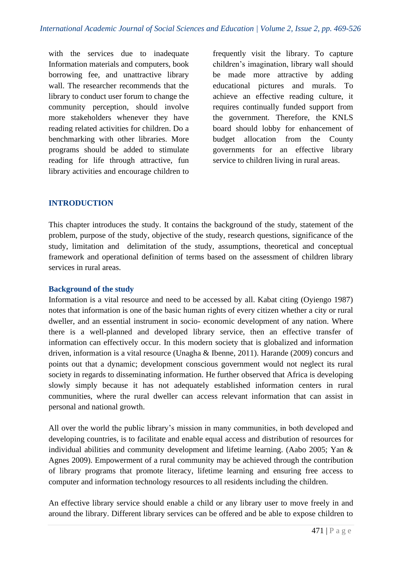with the services due to inadequate Information materials and computers, book borrowing fee, and unattractive library wall. The researcher recommends that the library to conduct user forum to change the community perception, should involve more stakeholders whenever they have reading related activities for children. Do a benchmarking with other libraries. More programs should be added to stimulate reading for life through attractive, fun library activities and encourage children to frequently visit the library. To capture children's imagination, library wall should be made more attractive by adding educational pictures and murals. To achieve an effective reading culture, it requires continually funded support from the government. Therefore, the KNLS board should lobby for enhancement of budget allocation from the County governments for an effective library service to children living in rural areas.

# **INTRODUCTION**

This chapter introduces the study. It contains the background of the study, statement of the problem, purpose of the study, objective of the study, research questions, significance of the study, limitation and delimitation of the study, assumptions, theoretical and conceptual framework and operational definition of terms based on the assessment of children library services in rural areas.

### **Background of the study**

Information is a vital resource and need to be accessed by all. Kabat citing (Oyiengo 1987) notes that information is one of the basic human rights of every citizen whether a city or rural dweller, and an essential instrument in socio- economic development of any nation. Where there is a well-planned and developed library service, then an effective transfer of information can effectively occur. In this modern society that is globalized and information driven, information is a vital resource (Unagha & Ibenne, 2011). Harande (2009) concurs and points out that a dynamic; development conscious government would not neglect its rural society in regards to disseminating information. He further observed that Africa is developing slowly simply because it has not adequately established information centers in rural communities, where the rural dweller can access relevant information that can assist in personal and national growth.

All over the world the public library's mission in many communities, in both developed and developing countries, is to facilitate and enable equal access and distribution of resources for individual abilities and community development and lifetime learning. (Aabo 2005; Yan & Agnes 2009). Empowerment of a rural community may be achieved through the contribution of library programs that promote literacy, lifetime learning and ensuring free access to computer and information technology resources to all residents including the children.

An effective library service should enable a child or any library user to move freely in and around the library. Different library services can be offered and be able to expose children to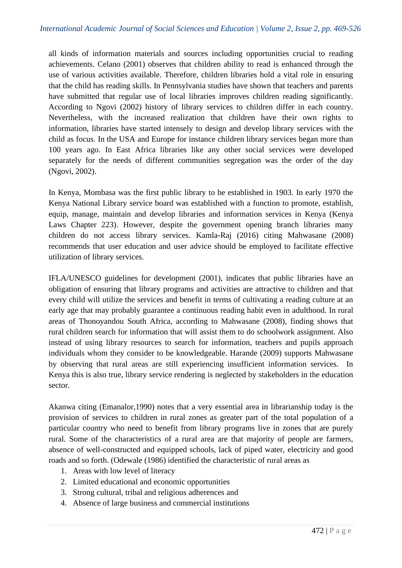all kinds of information materials and sources including opportunities crucial to reading achievements. Celano (2001) observes that children ability to read is enhanced through the use of various activities available. Therefore, children libraries hold a vital role in ensuring that the child has reading skills. In Pennsylvania studies have shown that teachers and parents have submitted that regular use of local libraries improves children reading significantly. According to Ngovi (2002) history of library services to children differ in each country. Nevertheless, with the increased realization that children have their own rights to information, libraries have started intensely to design and develop library services with the child as focus. In the USA and Europe for instance children library services began more than 100 years ago. In East Africa libraries like any other social services were developed separately for the needs of different communities segregation was the order of the day (Ngovi, 2002).

In Kenya, Mombasa was the first public library to be established in 1903. In early 1970 the Kenya National Library service board was established with a function to promote, establish, equip, manage, maintain and develop libraries and information services in Kenya (Kenya Laws Chapter 223). However, despite the government opening branch libraries many children do not access library services. Kamla-Raj (2016) citing Mahwasane (2008) recommends that user education and user advice should be employed to facilitate effective utilization of library services.

IFLA/UNESCO guidelines for development (2001), indicates that public libraries have an obligation of ensuring that library programs and activities are attractive to children and that every child will utilize the services and benefit in terms of cultivating a reading culture at an early age that may probably guarantee a continuous reading habit even in adulthood. In rural areas of Thonoyandou South Africa, according to Mahwasane (2008), finding shows that rural children search for information that will assist them to do schoolwork assignment. Also instead of using library resources to search for information, teachers and pupils approach individuals whom they consider to be knowledgeable. Harande (2009) supports Mahwasane by observing that rural areas are still experiencing insufficient information services. In Kenya this is also true, library service rendering is neglected by stakeholders in the education sector.

Akanwa citing (Emanalor,1990) notes that a very essential area in librarianship today is the provision of services to children in rural zones as greater part of the total population of a particular country who need to benefit from library programs live in zones that are purely rural. Some of the characteristics of a rural area are that majority of people are farmers, absence of well-constructed and equipped schools, lack of piped water, electricity and good roads and so forth. (Odewale (1986) identified the characteristic of rural areas as

- 1. Areas with low level of literacy
- 2. Limited educational and economic opportunities
- 3. Strong cultural, tribal and religious adherences and
- 4. Absence of large business and commercial institutions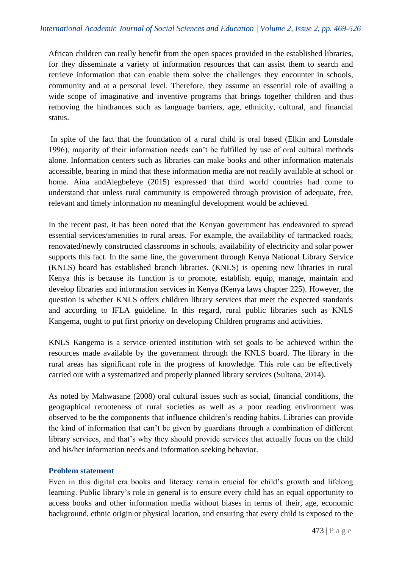African children can really benefit from the open spaces provided in the established libraries, for they disseminate a variety of information resources that can assist them to search and retrieve information that can enable them solve the challenges they encounter in schools, community and at a personal level. Therefore, they assume an essential role of availing a wide scope of imaginative and inventive programs that brings together children and thus removing the hindrances such as language barriers, age, ethnicity, cultural, and financial status.

In spite of the fact that the foundation of a rural child is oral based (Elkin and Lonsdale 1996), majority of their information needs can't be fulfilled by use of oral cultural methods alone. Information centers such as libraries can make books and other information materials accessible, bearing in mind that these information media are not readily available at school or home. Aina andAlegbeleye (2015) expressed that third world countries had come to understand that unless rural community is empowered through provision of adequate, free, relevant and timely information no meaningful development would be achieved.

In the recent past, it has been noted that the Kenyan government has endeavored to spread essential services/amenities to rural areas. For example, the availability of tarmacked roads, renovated/newly constructed classrooms in schools, availability of electricity and solar power supports this fact. In the same line, the government through Kenya National Library Service (KNLS) board has established branch libraries. (KNLS) is opening new libraries in rural Kenya this is because its function is to promote, establish, equip, manage, maintain and develop libraries and information services in Kenya (Kenya laws chapter 225). However, the question is whether KNLS offers children library services that meet the expected standards and according to IFLA guideline. In this regard, rural public libraries such as KNLS Kangema, ought to put first priority on developing Children programs and activities.

KNLS Kangema is a service oriented institution with set goals to be achieved within the resources made available by the government through the KNLS board. The library in the rural areas has significant role in the progress of knowledge. This role can be effectively carried out with a systematized and properly planned library services (Sultana, 2014).

As noted by Mahwasane (2008) oral cultural issues such as social, financial conditions, the geographical remoteness of rural societies as well as a poor reading environment was observed to be the components that influence children's reading habits. Libraries can provide the kind of information that can't be given by guardians through a combination of different library services, and that's why they should provide services that actually focus on the child and his/her information needs and information seeking behavior.

### **Problem statement**

Even in this digital era books and literacy remain crucial for child's growth and lifelong learning. Public library's role in general is to ensure every child has an equal opportunity to access books and other information media without biases in terms of their, age, economic background, ethnic origin or physical location, and ensuring that every child is exposed to the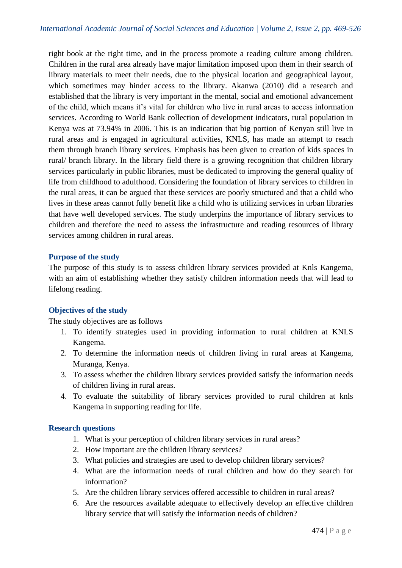right book at the right time, and in the process promote a reading culture among children. Children in the rural area already have major limitation imposed upon them in their search of library materials to meet their needs, due to the physical location and geographical layout, which sometimes may hinder access to the library. Akanwa (2010) did a research and established that the library is very important in the mental, social and emotional advancement of the child, which means it's vital for children who live in rural areas to access information services. According to World Bank collection of development indicators, rural population in Kenya was at 73.94% in 2006. This is an indication that big portion of Kenyan still live in rural areas and is engaged in agricultural activities, KNLS, has made an attempt to reach them through branch library services. Emphasis has been given to creation of kids spaces in rural/ branch library. In the library field there is a growing recognition that children library services particularly in public libraries, must be dedicated to improving the general quality of life from childhood to adulthood. Considering the foundation of library services to children in the rural areas, it can be argued that these services are poorly structured and that a child who lives in these areas cannot fully benefit like a child who is utilizing services in urban libraries that have well developed services. The study underpins the importance of library services to children and therefore the need to assess the infrastructure and reading resources of library services among children in rural areas.

### **Purpose of the study**

The purpose of this study is to assess children library services provided at Knls Kangema, with an aim of establishing whether they satisfy children information needs that will lead to lifelong reading.

### **Objectives of the study**

The study objectives are as follows

- 1. To identify strategies used in providing information to rural children at KNLS Kangema.
- 2. To determine the information needs of children living in rural areas at Kangema, Muranga, Kenya.
- 3. To assess whether the children library services provided satisfy the information needs of children living in rural areas.
- 4. To evaluate the suitability of library services provided to rural children at knls Kangema in supporting reading for life.

### **Research questions**

- 1. What is your perception of children library services in rural areas?
- 2. How important are the children library services?
- 3. What policies and strategies are used to develop children library services?
- 4. What are the information needs of rural children and how do they search for information?
- 5. Are the children library services offered accessible to children in rural areas?
- 6. Are the resources available adequate to effectively develop an effective children library service that will satisfy the information needs of children?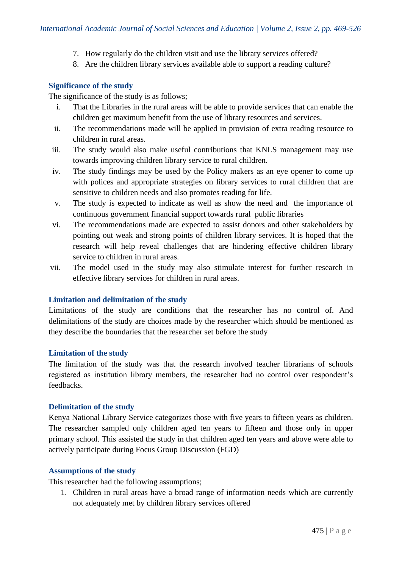- 7. How regularly do the children visit and use the library services offered?
- 8. Are the children library services available able to support a reading culture?

### **Significance of the study**

The significance of the study is as follows;

- i. That the Libraries in the rural areas will be able to provide services that can enable the children get maximum benefit from the use of library resources and services.
- ii. The recommendations made will be applied in provision of extra reading resource to children in rural areas.
- iii. The study would also make useful contributions that KNLS management may use towards improving children library service to rural children.
- iv. The study findings may be used by the Policy makers as an eye opener to come up with polices and appropriate strategies on library services to rural children that are sensitive to children needs and also promotes reading for life.
- v. The study is expected to indicate as well as show the need and the importance of continuous government financial support towards rural public libraries
- vi. The recommendations made are expected to assist donors and other stakeholders by pointing out weak and strong points of children library services. It is hoped that the research will help reveal challenges that are hindering effective children library service to children in rural areas.
- vii. The model used in the study may also stimulate interest for further research in effective library services for children in rural areas.

### **Limitation and delimitation of the study**

Limitations of the study are conditions that the researcher has no control of. And delimitations of the study are choices made by the researcher which should be mentioned as they describe the boundaries that the researcher set before the study

### **Limitation of the study**

The limitation of the study was that the research involved teacher librarians of schools registered as institution library members, the researcher had no control over respondent's feedbacks.

### **Delimitation of the study**

Kenya National Library Service categorizes those with five years to fifteen years as children. The researcher sampled only children aged ten years to fifteen and those only in upper primary school. This assisted the study in that children aged ten years and above were able to actively participate during Focus Group Discussion (FGD)

### **Assumptions of the study**

This researcher had the following assumptions;

1. Children in rural areas have a broad range of information needs which are currently not adequately met by children library services offered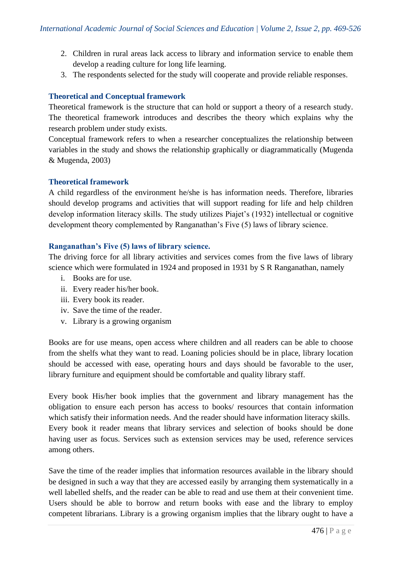- 2. Children in rural areas lack access to library and information service to enable them develop a reading culture for long life learning.
- 3. The respondents selected for the study will cooperate and provide reliable responses.

# **Theoretical and Conceptual framework**

Theoretical framework is the structure that can hold or support a theory of a research study. The theoretical framework introduces and describes the theory which explains why the research problem under study exists.

Conceptual framework refers to when a researcher conceptualizes the relationship between variables in the study and shows the relationship graphically or diagrammatically (Mugenda & Mugenda, 2003)

### **Theoretical framework**

A child regardless of the environment he/she is has information needs. Therefore, libraries should develop programs and activities that will support reading for life and help children develop information literacy skills. The study utilizes Piajet's (1932) intellectual or cognitive development theory complemented by Ranganathan's Five (5) laws of library science.

### **Ranganathan's Five (5) laws of library science.**

The driving force for all library activities and services comes from the five laws of library science which were formulated in 1924 and proposed in 1931 by S R Ranganathan, namely

- i. Books are for use.
- ii. Every reader his/her book.
- iii. Every book its reader.
- iv. Save the time of the reader.
- v. Library is a growing organism

Books are for use means, open access where children and all readers can be able to choose from the shelfs what they want to read. Loaning policies should be in place, library location should be accessed with ease, operating hours and days should be favorable to the user, library furniture and equipment should be comfortable and quality library staff.

Every book His/her book implies that the government and library management has the obligation to ensure each person has access to books/ resources that contain information which satisfy their information needs. And the reader should have information literacy skills. Every book it reader means that library services and selection of books should be done having user as focus. Services such as extension services may be used, reference services among others.

Save the time of the reader implies that information resources available in the library should be designed in such a way that they are accessed easily by arranging them systematically in a well labelled shelfs, and the reader can be able to read and use them at their convenient time. Users should be able to borrow and return books with ease and the library to employ competent librarians. Library is a growing organism implies that the library ought to have a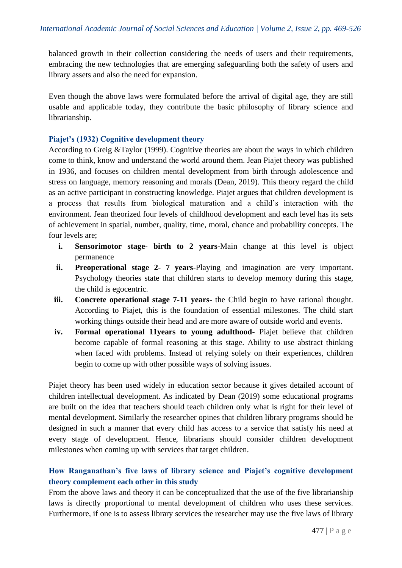balanced growth in their collection considering the needs of users and their requirements, embracing the new technologies that are emerging safeguarding both the safety of users and library assets and also the need for expansion.

Even though the above laws were formulated before the arrival of digital age, they are still usable and applicable today, they contribute the basic philosophy of library science and librarianship.

### **Piajet's (1932) Cognitive development theory**

According to Greig &Taylor (1999). Cognitive theories are about the ways in which children come to think, know and understand the world around them. Jean Piajet theory was published in 1936, and focuses on children mental development from birth through adolescence and stress on language, memory reasoning and morals (Dean, 2019). This theory regard the child as an active participant in constructing knowledge. Piajet argues that children development is a process that results from biological maturation and a child's interaction with the environment. Jean theorized four levels of childhood development and each level has its sets of achievement in spatial, number, quality, time, moral, chance and probability concepts. The four levels are;

- **i. Sensorimotor stage- birth to 2 years-**Main change at this level is object permanence
- **ii. Preoperational stage 2- 7 years-**Playing and imagination are very important. Psychology theories state that children starts to develop memory during this stage, the child is egocentric.
- **iii. Concrete operational stage 7-11 years-** the Child begin to have rational thought. According to Piajet, this is the foundation of essential milestones. The child start working things outside their head and are more aware of outside world and events.
- **iv. Formal operational 11years to young adulthood-** Piajet believe that children become capable of formal reasoning at this stage. Ability to use abstract thinking when faced with problems. Instead of relying solely on their experiences, children begin to come up with other possible ways of solving issues.

Piajet theory has been used widely in education sector because it gives detailed account of children intellectual development. As indicated by Dean (2019) some educational programs are built on the idea that teachers should teach children only what is right for their level of mental development. Similarly the researcher opines that children library programs should be designed in such a manner that every child has access to a service that satisfy his need at every stage of development. Hence, librarians should consider children development milestones when coming up with services that target children.

# **How Ranganathan's five laws of library science and Piajet's cognitive development theory complement each other in this study**

From the above laws and theory it can be conceptualized that the use of the five librarianship laws is directly proportional to mental development of children who uses these services. Furthermore, if one is to assess library services the researcher may use the five laws of library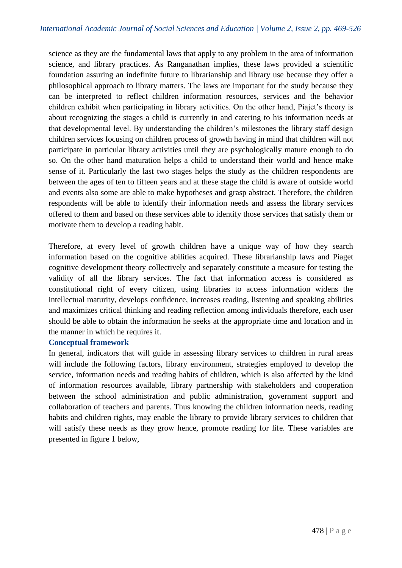science as they are the fundamental laws that apply to any problem in the area of information science, and library practices. As Ranganathan implies, these laws provided a scientific foundation assuring an indefinite future to librarianship and library use because they offer a philosophical approach to library matters. The laws are important for the study because they can be interpreted to reflect children information resources, services and the behavior children exhibit when participating in library activities. On the other hand, Piajet's theory is about recognizing the stages a child is currently in and catering to his information needs at that developmental level. By understanding the children's milestones the library staff design children services focusing on children process of growth having in mind that children will not participate in particular library activities until they are psychologically mature enough to do so. On the other hand maturation helps a child to understand their world and hence make sense of it. Particularly the last two stages helps the study as the children respondents are between the ages of ten to fifteen years and at these stage the child is aware of outside world and events also some are able to make hypotheses and grasp abstract. Therefore, the children respondents will be able to identify their information needs and assess the library services offered to them and based on these services able to identify those services that satisfy them or motivate them to develop a reading habit.

Therefore, at every level of growth children have a unique way of how they search information based on the cognitive abilities acquired. These librarianship laws and Piaget cognitive development theory collectively and separately constitute a measure for testing the validity of all the library services. The fact that information access is considered as constitutional right of every citizen, using libraries to access information widens the intellectual maturity, develops confidence, increases reading, listening and speaking abilities and maximizes critical thinking and reading reflection among individuals therefore, each user should be able to obtain the information he seeks at the appropriate time and location and in the manner in which he requires it.

### **Conceptual framework**

In general, indicators that will guide in assessing library services to children in rural areas will include the following factors, library environment, strategies employed to develop the service, information needs and reading habits of children, which is also affected by the kind of information resources available, library partnership with stakeholders and cooperation between the school administration and public administration, government support and collaboration of teachers and parents. Thus knowing the children information needs, reading habits and children rights, may enable the library to provide library services to children that will satisfy these needs as they grow hence, promote reading for life. These variables are presented in figure 1 below,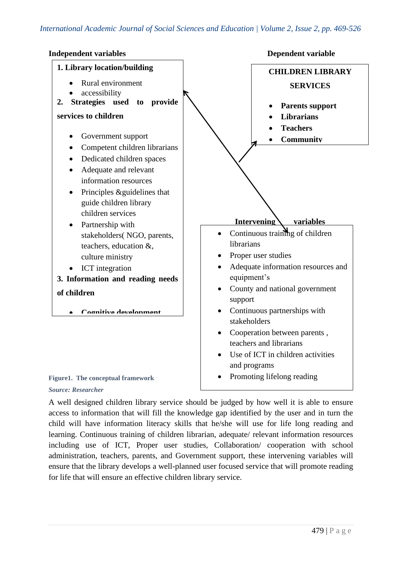

A well designed children library service should be judged by how well it is able to ensure access to information that will fill the knowledge gap identified by the user and in turn the child will have information literacy skills that he/she will use for life long reading and learning. Continuous training of children librarian, adequate/ relevant information resources including use of ICT, Proper user studies, Collaboration/ cooperation with school administration, teachers, parents, and Government support, these intervening variables will ensure that the library develops a well-planned user focused service that will promote reading for life that will ensure an effective children library service.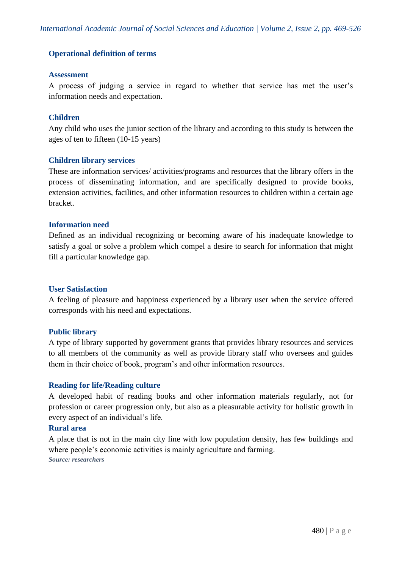### **Operational definition of terms**

### **Assessment**

A process of judging a service in regard to whether that service has met the user's information needs and expectation.

### **Children**

Any child who uses the junior section of the library and according to this study is between the ages of ten to fifteen (10-15 years)

### **Children library services**

These are information services/ activities/programs and resources that the library offers in the process of disseminating information, and are specifically designed to provide books, extension activities, facilities, and other information resources to children within a certain age bracket.

### **Information need**

Defined as an individual recognizing or becoming aware of his inadequate knowledge to satisfy a goal or solve a problem which compel a desire to search for information that might fill a particular knowledge gap.

### **User Satisfaction**

A feeling of pleasure and happiness experienced by a library user when the service offered corresponds with his need and expectations.

### **Public library**

A type of library supported by government grants that provides library resources and services to all members of the community as well as provide library staff who oversees and guides them in their choice of book, program's and other information resources.

### **Reading for life/Reading culture**

A developed habit of reading books and other information materials regularly, not for profession or career progression only, but also as a pleasurable activity for holistic growth in every aspect of an individual's life.

### **Rural area**

A place that is not in the main city line with low population density, has few buildings and where people's economic activities is mainly agriculture and farming. *Source: researchers*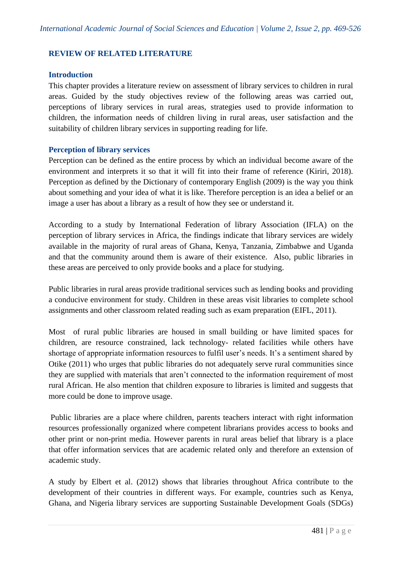# **REVIEW OF RELATED LITERATURE**

### **Introduction**

This chapter provides a literature review on assessment of library services to children in rural areas. Guided by the study objectives review of the following areas was carried out, perceptions of library services in rural areas, strategies used to provide information to children, the information needs of children living in rural areas, user satisfaction and the suitability of children library services in supporting reading for life.

### **Perception of library services**

Perception can be defined as the entire process by which an individual become aware of the environment and interprets it so that it will fit into their frame of reference (Kiriri, 2018). Perception as defined by the Dictionary of contemporary English (2009) is the way you think about something and your idea of what it is like. Therefore perception is an idea a belief or an image a user has about a library as a result of how they see or understand it.

According to a study by International Federation of library Association (IFLA) on the perception of library services in Africa, the findings indicate that library services are widely available in the majority of rural areas of Ghana, Kenya, Tanzania, Zimbabwe and Uganda and that the community around them is aware of their existence. Also, public libraries in these areas are perceived to only provide books and a place for studying.

Public libraries in rural areas provide traditional services such as lending books and providing a conducive environment for study. Children in these areas visit libraries to complete school assignments and other classroom related reading such as exam preparation (EIFL, 2011).

Most of rural public libraries are housed in small building or have limited spaces for children, are resource constrained, lack technology- related facilities while others have shortage of appropriate information resources to fulfil user's needs. It's a sentiment shared by Otike (2011) who urges that public libraries do not adequately serve rural communities since they are supplied with materials that aren't connected to the information requirement of most rural African. He also mention that children exposure to libraries is limited and suggests that more could be done to improve usage.

Public libraries are a place where children, parents teachers interact with right information resources professionally organized where competent librarians provides access to books and other print or non-print media. However parents in rural areas belief that library is a place that offer information services that are academic related only and therefore an extension of academic study.

A study by Elbert et al. (2012) shows that libraries throughout Africa contribute to the development of their countries in different ways. For example, countries such as Kenya, Ghana, and Nigeria library services are supporting Sustainable Development Goals (SDGs)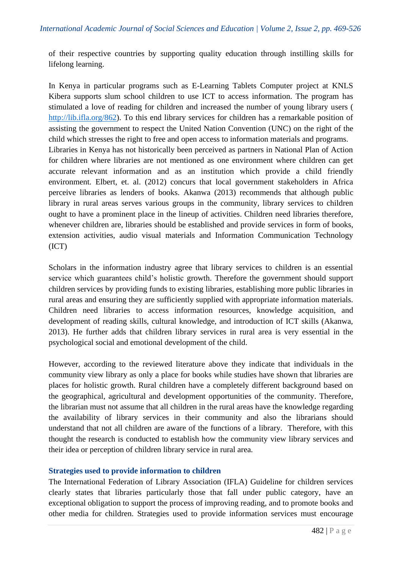of their respective countries by supporting quality education through instilling skills for lifelong learning.

In Kenya in particular programs such as E-Learning Tablets Computer project at KNLS Kibera supports slum school children to use ICT to access information. The program has stimulated a love of reading for children and increased the number of young library users ( [http://lib.ifla.org/862\)](http://lib.ifla.org/862). To this end library services for children has a remarkable position of assisting the government to respect the United Nation Convention (UNC) on the right of the child which stresses the right to free and open access to information materials and programs. Libraries in Kenya has not historically been perceived as partners in National Plan of Action for children where libraries are not mentioned as one environment where children can get accurate relevant information and as an institution which provide a child friendly environment. Elbert, et. al. (2012) concurs that local government stakeholders in Africa perceive libraries as lenders of books. Akanwa (2013) recommends that although public library in rural areas serves various groups in the community, library services to children ought to have a prominent place in the lineup of activities. Children need libraries therefore, whenever children are, libraries should be established and provide services in form of books, extension activities, audio visual materials and Information Communication Technology (ICT)

Scholars in the information industry agree that library services to children is an essential service which guarantees child's holistic growth. Therefore the government should support children services by providing funds to existing libraries, establishing more public libraries in rural areas and ensuring they are sufficiently supplied with appropriate information materials. Children need libraries to access information resources, knowledge acquisition, and development of reading skills, cultural knowledge, and introduction of ICT skills (Akanwa, 2013). He further adds that children library services in rural area is very essential in the psychological social and emotional development of the child.

However, according to the reviewed literature above they indicate that individuals in the community view library as only a place for books while studies have shown that libraries are places for holistic growth. Rural children have a completely different background based on the geographical, agricultural and development opportunities of the community. Therefore, the librarian must not assume that all children in the rural areas have the knowledge regarding the availability of library services in their community and also the librarians should understand that not all children are aware of the functions of a library. Therefore, with this thought the research is conducted to establish how the community view library services and their idea or perception of children library service in rural area.

### **Strategies used to provide information to children**

The International Federation of Library Association (IFLA) Guideline for children services clearly states that libraries particularly those that fall under public category, have an exceptional obligation to support the process of improving reading, and to promote books and other media for children. Strategies used to provide information services must encourage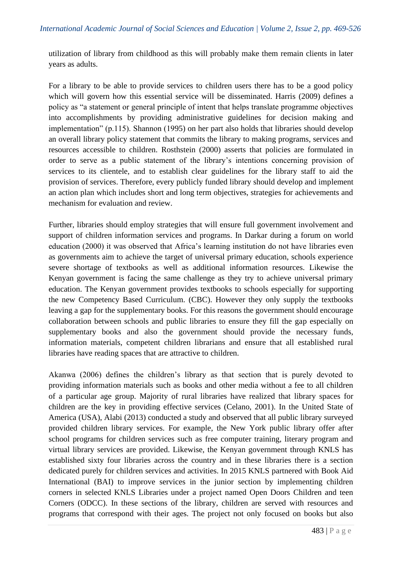utilization of library from childhood as this will probably make them remain clients in later years as adults.

For a library to be able to provide services to children users there has to be a good policy which will govern how this essential service will be disseminated. Harris (2009) defines a policy as "a statement or general principle of intent that helps translate programme objectives into accomplishments by providing administrative guidelines for decision making and implementation" (p.115). Shannon (1995) on her part also holds that libraries should develop an overall library policy statement that commits the library to making programs, services and resources accessible to children. Rosthstein (2000) asserts that policies are formulated in order to serve as a public statement of the library's intentions concerning provision of services to its clientele, and to establish clear guidelines for the library staff to aid the provision of services. Therefore, every publicly funded library should develop and implement an action plan which includes short and long term objectives, strategies for achievements and mechanism for evaluation and review.

Further, libraries should employ strategies that will ensure full government involvement and support of children information services and programs. In Darkar during a forum on world education (2000) it was observed that Africa's learning institution do not have libraries even as governments aim to achieve the target of universal primary education, schools experience severe shortage of textbooks as well as additional information resources. Likewise the Kenyan government is facing the same challenge as they try to achieve universal primary education. The Kenyan government provides textbooks to schools especially for supporting the new Competency Based Curriculum. (CBC). However they only supply the textbooks leaving a gap for the supplementary books. For this reasons the government should encourage collaboration between schools and public libraries to ensure they fill the gap especially on supplementary books and also the government should provide the necessary funds, information materials, competent children librarians and ensure that all established rural libraries have reading spaces that are attractive to children.

Akanwa (2006) defines the children's library as that section that is purely devoted to providing information materials such as books and other media without a fee to all children of a particular age group. Majority of rural libraries have realized that library spaces for children are the key in providing effective services (Celano, 2001). In the United State of America (USA), Alabi (2013) conducted a study and observed that all public library surveyed provided children library services. For example, the New York public library offer after school programs for children services such as free computer training, literary program and virtual library services are provided. Likewise, the Kenyan government through KNLS has established sixty four libraries across the country and in these libraries there is a section dedicated purely for children services and activities. In 2015 KNLS partnered with Book Aid International (BAI) to improve services in the junior section by implementing children corners in selected KNLS Libraries under a project named Open Doors Children and teen Corners (ODCC). In these sections of the library, children are served with resources and programs that correspond with their ages. The project not only focused on books but also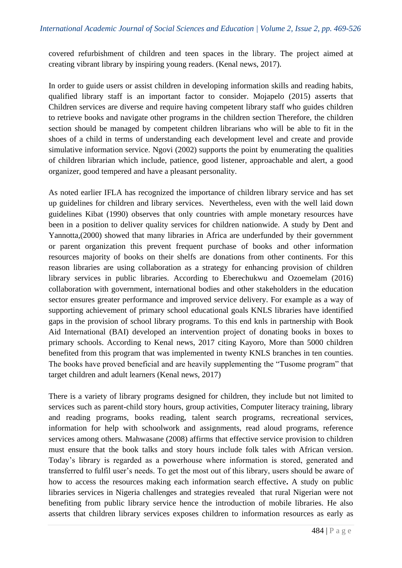covered refurbishment of children and teen spaces in the library. The project aimed at creating vibrant library by inspiring young readers. (Kenal news, 2017).

In order to guide users or assist children in developing information skills and reading habits, qualified library staff is an important factor to consider. Mojapelo (2015) asserts that Children services are diverse and require having competent library staff who guides children to retrieve books and navigate other programs in the children section Therefore, the children section should be managed by competent children librarians who will be able to fit in the shoes of a child in terms of understanding each development level and create and provide simulative information service. Ngovi (2002) supports the point by enumerating the qualities of children librarian which include, patience, good listener, approachable and alert, a good organizer, good tempered and have a pleasant personality.

As noted earlier IFLA has recognized the importance of children library service and has set up guidelines for children and library services. Nevertheless, even with the well laid down guidelines Kibat (1990) observes that only countries with ample monetary resources have been in a position to deliver quality services for children nationwide. A study by Dent and Yannotta,(2000) showed that many libraries in Africa are underfunded by their government or parent organization this prevent frequent purchase of books and other information resources majority of books on their shelfs are donations from other continents. For this reason libraries are using collaboration as a strategy for enhancing provision of children library services in public libraries. According to Eberechukwu and Ozoemelam (2016) collaboration with government, international bodies and other stakeholders in the education sector ensures greater performance and improved service delivery. For example as a way of supporting achievement of primary school educational goals KNLS libraries have identified gaps in the provision of school library programs. To this end knls in partnership with Book Aid International (BAI) developed an intervention project of donating books in boxes to primary schools. According to Kenal news, 2017 citing Kayoro, More than 5000 children benefited from this program that was implemented in twenty KNLS branches in ten counties. The books have proved beneficial and are heavily supplementing the "Tusome program" that target children and adult learners (Kenal news, 2017)

There is a variety of library programs designed for children, they include but not limited to services such as parent-child story hours, group activities, Computer literacy training, library and reading programs, books reading, talent search programs, recreational services, information for help with schoolwork and assignments, read aloud programs, reference services among others. Mahwasane (2008) affirms that effective service provision to children must ensure that the book talks and story hours include folk tales with African version. Today's library is regarded as a powerhouse where information is stored, generated and transferred to fulfil user's needs. To get the most out of this library, users should be aware of how to access the resources making each information search effective**.** A study on public libraries services in Nigeria challenges and strategies revealed that rural Nigerian were not benefiting from public library service hence the introduction of mobile libraries. He also asserts that children library services exposes children to information resources as early as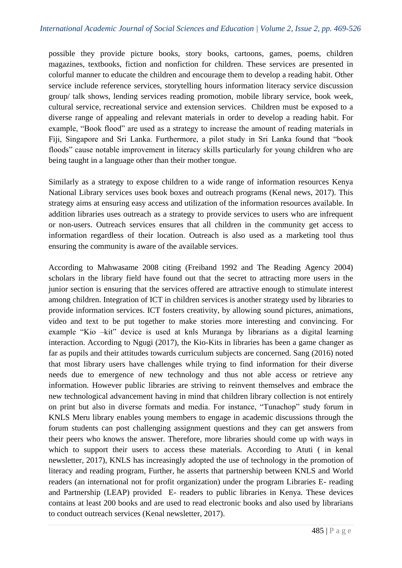possible they provide picture books, story books, cartoons, games, poems, children magazines, textbooks, fiction and nonfiction for children. These services are presented in colorful manner to educate the children and encourage them to develop a reading habit. Other service include reference services, storytelling hours information literacy service discussion group/ talk shows, lending services reading promotion, mobile library service, book week, cultural service, recreational service and extension services. Children must be exposed to a diverse range of appealing and relevant materials in order to develop a reading habit. For example, "Book flood" are used as a strategy to increase the amount of reading materials in Fiji, Singapore and Sri Lanka. Furthermore, a pilot study in Sri Lanka found that "book floods" cause notable improvement in literacy skills particularly for young children who are being taught in a language other than their mother tongue.

Similarly as a strategy to expose children to a wide range of information resources Kenya National Library services uses book boxes and outreach programs (Kenal news, 2017). This strategy aims at ensuring easy access and utilization of the information resources available. In addition libraries uses outreach as a strategy to provide services to users who are infrequent or non-users. Outreach services ensures that all children in the community get access to information regardless of their location. Outreach is also used as a marketing tool thus ensuring the community is aware of the available services.

According to Mahwasame 2008 citing (Freiband 1992 and The Reading Agency 2004) scholars in the library field have found out that the secret to attracting more users in the junior section is ensuring that the services offered are attractive enough to stimulate interest among children. Integration of ICT in children services is another strategy used by libraries to provide information services. ICT fosters creativity, by allowing sound pictures, animations, video and text to be put together to make stories more interesting and convincing. For example "Kio –kit" device is used at knls Muranga by librarians as a digital learning interaction. According to Ngugi (2017), the Kio-Kits in libraries has been a game changer as far as pupils and their attitudes towards curriculum subjects are concerned. Sang (2016) noted that most library users have challenges while trying to find information for their diverse needs due to emergence of new technology and thus not able access or retrieve any information. However public libraries are striving to reinvent themselves and embrace the new technological advancement having in mind that children library collection is not entirely on print but also in diverse formats and media. For instance, "Tunachop" study forum in KNLS Meru library enables young members to engage in academic discussions through the forum students can post challenging assignment questions and they can get answers from their peers who knows the answer. Therefore, more libraries should come up with ways in which to support their users to access these materials. According to Atuti ( in kenal newsletter, 2017), KNLS has increasingly adopted the use of technology in the promotion of literacy and reading program, Further, he asserts that partnership between KNLS and World readers (an international not for profit organization) under the program Libraries E- reading and Partnership (LEAP) provided E- readers to public libraries in Kenya. These devices contains at least 200 books and are used to read electronic books and also used by librarians to conduct outreach services (Kenal newsletter, 2017).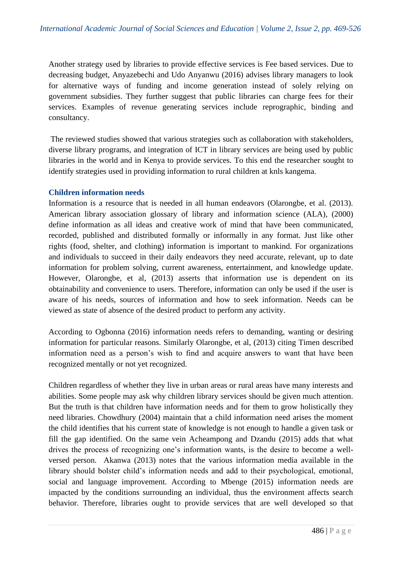Another strategy used by libraries to provide effective services is Fee based services. Due to decreasing budget, Anyazebechi and Udo Anyanwu (2016) advises library managers to look for alternative ways of funding and income generation instead of solely relying on government subsidies. They further suggest that public libraries can charge fees for their services. Examples of revenue generating services include reprographic, binding and consultancy.

The reviewed studies showed that various strategies such as collaboration with stakeholders, diverse library programs, and integration of ICT in library services are being used by public libraries in the world and in Kenya to provide services. To this end the researcher sought to identify strategies used in providing information to rural children at knls kangema.

### **Children information needs**

Information is a resource that is needed in all human endeavors (Olarongbe, et al. (2013). American library association glossary of library and information science (ALA), (2000) define information as all ideas and creative work of mind that have been communicated, recorded, published and distributed formally or informally in any format. Just like other rights (food, shelter, and clothing) information is important to mankind. For organizations and individuals to succeed in their daily endeavors they need accurate, relevant, up to date information for problem solving, current awareness, entertainment, and knowledge update. However, Olarongbe, et al, (2013) asserts that information use is dependent on its obtainability and convenience to users. Therefore, information can only be used if the user is aware of his needs, sources of information and how to seek information. Needs can be viewed as state of absence of the desired product to perform any activity.

According to Ogbonna (2016) information needs refers to demanding, wanting or desiring information for particular reasons. Similarly Olarongbe, et al, (2013) citing Timen described information need as a person's wish to find and acquire answers to want that have been recognized mentally or not yet recognized.

Children regardless of whether they live in urban areas or rural areas have many interests and abilities. Some people may ask why children library services should be given much attention. But the truth is that children have information needs and for them to grow holistically they need libraries. Chowdhury (2004) maintain that a child information need arises the moment the child identifies that his current state of knowledge is not enough to handle a given task or fill the gap identified. On the same vein Acheampong and Dzandu (2015) adds that what drives the process of recognizing one's information wants, is the desire to become a wellversed person. Akanwa (2013) notes that the various information media available in the library should bolster child's information needs and add to their psychological, emotional, social and language improvement. According to Mbenge (2015) information needs are impacted by the conditions surrounding an individual, thus the environment affects search behavior. Therefore, libraries ought to provide services that are well developed so that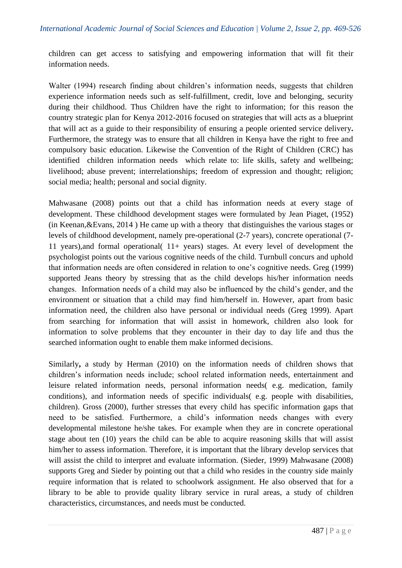children can get access to satisfying and empowering information that will fit their information needs.

Walter (1994) research finding about children's information needs, suggests that children experience information needs such as self-fulfillment, credit, love and belonging, security during their childhood. Thus Children have the right to information; for this reason the country strategic plan for Kenya 2012-2016 focused on strategies that will acts as a blueprint that will act as a guide to their responsibility of ensuring a people oriented service delivery**.** Furthermore, the strategy was to ensure that all children in Kenya have the right to free and compulsory basic education. Likewise the Convention of the Right of Children (CRC) has identified children information needs which relate to: life skills, safety and wellbeing; livelihood; abuse prevent; interrelationships; freedom of expression and thought; religion; social media; health; personal and social dignity.

Mahwasane (2008) points out that a child has information needs at every stage of development. These childhood development stages were formulated by Jean Piaget, (1952) (in Keenan,&Evans, 2014 ) He came up with a theory that distinguishes the various stages or levels of childhood development, namely pre-operational (2-7 years), concrete operational (7- 11 years),and formal operational( 11+ years) stages. At every level of development the psychologist points out the various cognitive needs of the child. Turnbull concurs and uphold that information needs are often considered in relation to one's cognitive needs. Greg (1999) supported Jeans theory by stressing that as the child develops his/her information needs changes. Information needs of a child may also be influenced by the child's gender, and the environment or situation that a child may find him/herself in. However, apart from basic information need, the children also have personal or individual needs (Greg 1999). Apart from searching for information that will assist in homework, children also look for information to solve problems that they encounter in their day to day life and thus the searched information ought to enable them make informed decisions.

Similarly**,** a study by Herman (2010) on the information needs of children shows that children's information needs include; school related information needs, entertainment and leisure related information needs, personal information needs( e.g. medication, family conditions), and information needs of specific individuals( e.g. people with disabilities, children). Gross (2000), further stresses that every child has specific information gaps that need to be satisfied. Furthermore, a child's information needs changes with every developmental milestone he/she takes. For example when they are in concrete operational stage about ten (10) years the child can be able to acquire reasoning skills that will assist him/her to assess information. Therefore, it is important that the library develop services that will assist the child to interpret and evaluate information. (Sieder, 1999) Mahwasane (2008) supports Greg and Sieder by pointing out that a child who resides in the country side mainly require information that is related to schoolwork assignment. He also observed that for a library to be able to provide quality library service in rural areas, a study of children characteristics, circumstances, and needs must be conducted.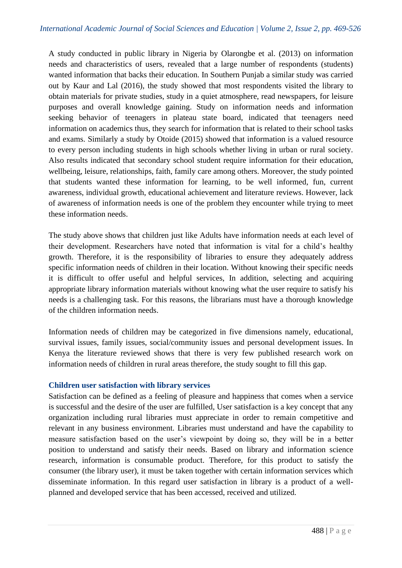A study conducted in public library in Nigeria by Olarongbe et al. (2013) on information needs and characteristics of users, revealed that a large number of respondents (students) wanted information that backs their education. In Southern Punjab a similar study was carried out by Kaur and Lal (2016), the study showed that most respondents visited the library to obtain materials for private studies, study in a quiet atmosphere, read newspapers, for leisure purposes and overall knowledge gaining. Study on information needs and information seeking behavior of teenagers in plateau state board, indicated that teenagers need information on academics thus, they search for information that is related to their school tasks and exams. Similarly a study by Otoide (2015) showed that information is a valued resource to every person including students in high schools whether living in urban or rural society. Also results indicated that secondary school student require information for their education, wellbeing, leisure, relationships, faith, family care among others. Moreover, the study pointed that students wanted these information for learning, to be well informed, fun, current awareness, individual growth, educational achievement and literature reviews. However, lack of awareness of information needs is one of the problem they encounter while trying to meet these information needs.

The study above shows that children just like Adults have information needs at each level of their development. Researchers have noted that information is vital for a child's healthy growth. Therefore, it is the responsibility of libraries to ensure they adequately address specific information needs of children in their location. Without knowing their specific needs it is difficult to offer useful and helpful services, In addition, selecting and acquiring appropriate library information materials without knowing what the user require to satisfy his needs is a challenging task. For this reasons, the librarians must have a thorough knowledge of the children information needs.

Information needs of children may be categorized in five dimensions namely, educational, survival issues, family issues, social/community issues and personal development issues. In Kenya the literature reviewed shows that there is very few published research work on information needs of children in rural areas therefore, the study sought to fill this gap.

### **Children user satisfaction with library services**

Satisfaction can be defined as a feeling of pleasure and happiness that comes when a service is successful and the desire of the user are fulfilled, User satisfaction is a key concept that any organization including rural libraries must appreciate in order to remain competitive and relevant in any business environment. Libraries must understand and have the capability to measure satisfaction based on the user's viewpoint by doing so, they will be in a better position to understand and satisfy their needs. Based on library and information science research, information is consumable product. Therefore, for this product to satisfy the consumer (the library user), it must be taken together with certain information services which disseminate information. In this regard user satisfaction in library is a product of a wellplanned and developed service that has been accessed, received and utilized.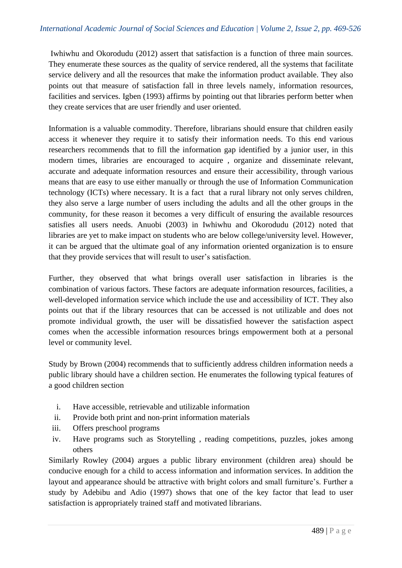Iwhiwhu and Okorodudu (2012) assert that satisfaction is a function of three main sources. They enumerate these sources as the quality of service rendered, all the systems that facilitate service delivery and all the resources that make the information product available. They also points out that measure of satisfaction fall in three levels namely, information resources, facilities and services. Igben (1993) affirms by pointing out that libraries perform better when they create services that are user friendly and user oriented.

Information is a valuable commodity. Therefore, librarians should ensure that children easily access it whenever they require it to satisfy their information needs. To this end various researchers recommends that to fill the information gap identified by a junior user, in this modern times, libraries are encouraged to acquire , organize and disseminate relevant, accurate and adequate information resources and ensure their accessibility, through various means that are easy to use either manually or through the use of Information Communication technology (ICTs) where necessary. It is a fact that a rural library not only serves children, they also serve a large number of users including the adults and all the other groups in the community, for these reason it becomes a very difficult of ensuring the available resources satisfies all users needs. Anuobi (2003) in Iwhiwhu and Okorodudu (2012) noted that libraries are yet to make impact on students who are below college/university level. However, it can be argued that the ultimate goal of any information oriented organization is to ensure that they provide services that will result to user's satisfaction.

Further, they observed that what brings overall user satisfaction in libraries is the combination of various factors. These factors are adequate information resources, facilities, a well-developed information service which include the use and accessibility of ICT. They also points out that if the library resources that can be accessed is not utilizable and does not promote individual growth, the user will be dissatisfied however the satisfaction aspect comes when the accessible information resources brings empowerment both at a personal level or community level.

Study by Brown (2004) recommends that to sufficiently address children information needs a public library should have a children section. He enumerates the following typical features of a good children section

- i. Have accessible, retrievable and utilizable information
- ii. Provide both print and non-print information materials
- iii. Offers preschool programs
- iv. Have programs such as Storytelling , reading competitions, puzzles, jokes among others

Similarly Rowley (2004) argues a public library environment (children area) should be conducive enough for a child to access information and information services. In addition the layout and appearance should be attractive with bright colors and small furniture's. Further a study by Adebibu and Adio (1997) shows that one of the key factor that lead to user satisfaction is appropriately trained staff and motivated librarians.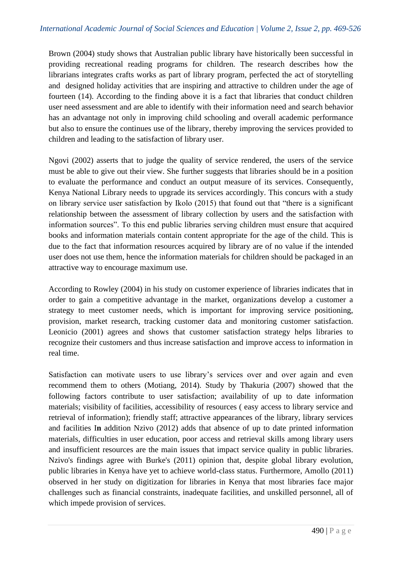Brown (2004) study shows that Australian public library have historically been successful in providing recreational reading programs for children. The research describes how the librarians integrates crafts works as part of library program, perfected the act of storytelling and designed holiday activities that are inspiring and attractive to children under the age of fourteen (14). According to the finding above it is a fact that libraries that conduct children user need assessment and are able to identify with their information need and search behavior has an advantage not only in improving child schooling and overall academic performance but also to ensure the continues use of the library, thereby improving the services provided to children and leading to the satisfaction of library user.

Ngovi (2002) asserts that to judge the quality of service rendered, the users of the service must be able to give out their view. She further suggests that libraries should be in a position to evaluate the performance and conduct an output measure of its services. Consequently, Kenya National Library needs to upgrade its services accordingly. This concurs with a study on library service user satisfaction by Ikolo (2015) that found out that "there is a significant relationship between the assessment of library collection by users and the satisfaction with information sources". To this end public libraries serving children must ensure that acquired books and information materials contain content appropriate for the age of the child. This is due to the fact that information resources acquired by library are of no value if the intended user does not use them, hence the information materials for children should be packaged in an attractive way to encourage maximum use.

According to Rowley (2004) in his study on customer experience of libraries indicates that in order to gain a competitive advantage in the market, organizations develop a customer a strategy to meet customer needs, which is important for improving service positioning, provision, market research, tracking customer data and monitoring customer satisfaction. Leonicio (2001) agrees and shows that customer satisfaction strategy helps libraries to recognize their customers and thus increase satisfaction and improve access to information in real time.

Satisfaction can motivate users to use library's services over and over again and even recommend them to others (Motiang, 2014). Study by Thakuria (2007) showed that the following factors contribute to user satisfaction; availability of up to date information materials; visibility of facilities, accessibility of resources ( easy access to library service and retrieval of information); friendly staff; attractive appearances of the library, library services and facilities I**n** addition Nzivo (2012) adds that absence of up to date printed information materials, difficulties in user education, poor access and retrieval skills among library users and insufficient resources are the main issues that impact service quality in public libraries. Nzivo's findings agree with Burke's (2011) opinion that, despite global library evolution, public libraries in Kenya have yet to achieve world-class status. Furthermore, Amollo (2011) observed in her study on digitization for libraries in Kenya that most libraries face major challenges such as financial constraints, inadequate facilities, and unskilled personnel, all of which impede provision of services.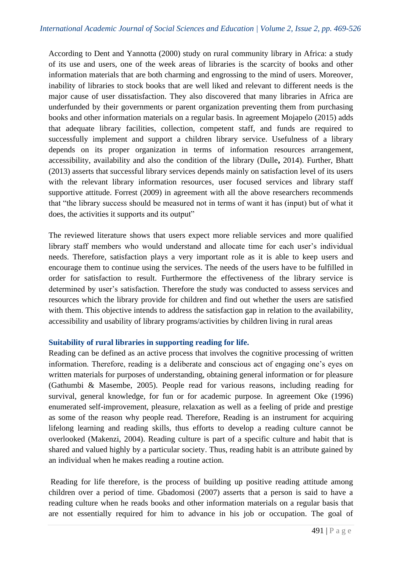According to Dent and Yannotta (2000) study on rural community library in Africa: a study of its use and users, one of the week areas of libraries is the scarcity of books and other information materials that are both charming and engrossing to the mind of users. Moreover, inability of libraries to stock books that are well liked and relevant to different needs is the major cause of user dissatisfaction. They also discovered that many libraries in Africa are underfunded by their governments or parent organization preventing them from purchasing books and other information materials on a regular basis. In agreement Mojapelo (2015) adds that adequate library facilities, collection, competent staff, and funds are required to successfully implement and support a children library service. Usefulness of a library depends on its proper organization in terms of information resources arrangement, accessibility, availability and also the condition of the library (Dulle**,** 2014). Further, Bhatt (2013) asserts that successful library services depends mainly on satisfaction level of its users with the relevant library information resources, user focused services and library staff supportive attitude. Forrest (2009) in agreement with all the above researchers recommends that "the library success should be measured not in terms of want it has (input) but of what it does, the activities it supports and its output"

The reviewed literature shows that users expect more reliable services and more qualified library staff members who would understand and allocate time for each user's individual needs. Therefore, satisfaction plays a very important role as it is able to keep users and encourage them to continue using the services. The needs of the users have to be fulfilled in order for satisfaction to result. Furthermore the effectiveness of the library service is determined by user's satisfaction. Therefore the study was conducted to assess services and resources which the library provide for children and find out whether the users are satisfied with them. This objective intends to address the satisfaction gap in relation to the availability, accessibility and usability of library programs/activities by children living in rural areas

### **Suitability of rural libraries in supporting reading for life.**

Reading can be defined as an active process that involves the cognitive processing of written information. Therefore, reading is a deliberate and conscious act of engaging one's eyes on written materials for purposes of understanding, obtaining general information or for pleasure (Gathumbi & Masembe, 2005). People read for various reasons, including reading for survival, general knowledge, for fun or for academic purpose. In agreement Oke (1996) enumerated self-improvement, pleasure, relaxation as well as a feeling of pride and prestige as some of the reason why people read. Therefore, Reading is an instrument for acquiring lifelong learning and reading skills, thus efforts to develop a reading culture cannot be overlooked (Makenzi, 2004). Reading culture is part of a specific culture and habit that is shared and valued highly by a particular society. Thus, reading habit is an attribute gained by an individual when he makes reading a routine action.

Reading for life therefore, is the process of building up positive reading attitude among children over a period of time. Gbadomosi (2007) asserts that a person is said to have a reading culture when he reads books and other information materials on a regular basis that are not essentially required for him to advance in his job or occupation. The goal of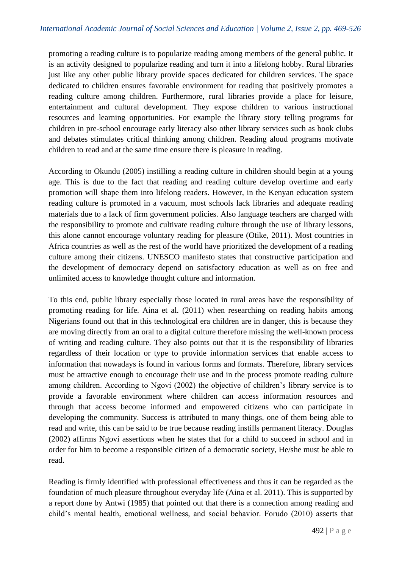promoting a reading culture is to popularize reading among members of the general public. It is an activity designed to popularize reading and turn it into a lifelong hobby. Rural libraries just like any other public library provide spaces dedicated for children services. The space dedicated to children ensures favorable environment for reading that positively promotes a reading culture among children. Furthermore, rural libraries provide a place for leisure, entertainment and cultural development. They expose children to various instructional resources and learning opportunities. For example the library story telling programs for children in pre-school encourage early literacy also other library services such as book clubs and debates stimulates critical thinking among children. Reading aloud programs motivate children to read and at the same time ensure there is pleasure in reading.

According to Okundu (2005) instilling a reading culture in children should begin at a young age. This is due to the fact that reading and reading culture develop overtime and early promotion will shape them into lifelong readers. However, in the Kenyan education system reading culture is promoted in a vacuum, most schools lack libraries and adequate reading materials due to a lack of firm government policies. Also language teachers are charged with the responsibility to promote and cultivate reading culture through the use of library lessons, this alone cannot encourage voluntary reading for pleasure (Otike, 2011). Most countries in Africa countries as well as the rest of the world have prioritized the development of a reading culture among their citizens. UNESCO manifesto states that constructive participation and the development of democracy depend on satisfactory education as well as on free and unlimited access to knowledge thought culture and information.

To this end, public library especially those located in rural areas have the responsibility of promoting reading for life. Aina et al. (2011) when researching on reading habits among Nigerians found out that in this technological era children are in danger, this is because they are moving directly from an oral to a digital culture therefore missing the well-known process of writing and reading culture. They also points out that it is the responsibility of libraries regardless of their location or type to provide information services that enable access to information that nowadays is found in various forms and formats. Therefore, library services must be attractive enough to encourage their use and in the process promote reading culture among children. According to Ngovi (2002) the objective of children's library service is to provide a favorable environment where children can access information resources and through that access become informed and empowered citizens who can participate in developing the community. Success is attributed to many things, one of them being able to read and write, this can be said to be true because reading instills permanent literacy. Douglas (2002) affirms Ngovi assertions when he states that for a child to succeed in school and in order for him to become a responsible citizen of a democratic society, He/she must be able to read.

Reading is firmly identified with professional effectiveness and thus it can be regarded as the foundation of much pleasure throughout everyday life (Aina et al. 2011). This is supported by a report done by Antwi (1985) that pointed out that there is a connection among reading and child's mental health, emotional wellness, and social behavior. Forudo (2010) asserts that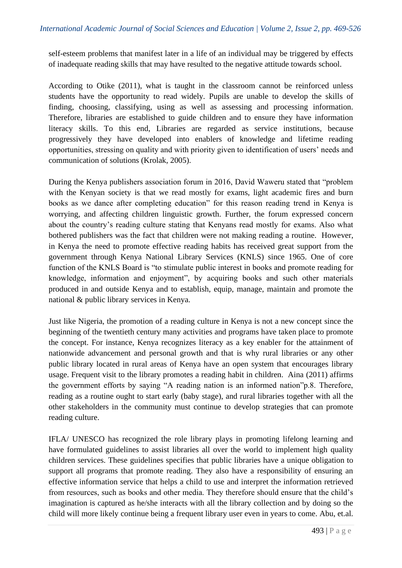self-esteem problems that manifest later in a life of an individual may be triggered by effects of inadequate reading skills that may have resulted to the negative attitude towards school.

According to Otike (2011), what is taught in the classroom cannot be reinforced unless students have the opportunity to read widely. Pupils are unable to develop the skills of finding, choosing, classifying, using as well as assessing and processing information. Therefore, libraries are established to guide children and to ensure they have information literacy skills. To this end, Libraries are regarded as service institutions, because progressively they have developed into enablers of knowledge and lifetime reading opportunities, stressing on quality and with priority given to identification of users' needs and communication of solutions (Krolak, 2005).

During the Kenya publishers association forum in 2016, David Waweru stated that "problem with the Kenyan society is that we read mostly for exams, light academic fires and burn books as we dance after completing education" for this reason reading trend in Kenya is worrying, and affecting children linguistic growth. Further, the forum expressed concern about the country's reading culture stating that Kenyans read mostly for exams. Also what bothered publishers was the fact that children were not making reading a routine. However, in Kenya the need to promote effective reading habits has received great support from the government through Kenya National Library Services (KNLS) since 1965. One of core function of the KNLS Board is "to stimulate public interest in books and promote reading for knowledge, information and enjoyment", by acquiring books and such other materials produced in and outside Kenya and to establish, equip, manage, maintain and promote the national & public library services in Kenya.

Just like Nigeria, the promotion of a reading culture in Kenya is not a new concept since the beginning of the twentieth century many activities and programs have taken place to promote the concept. For instance, Kenya recognizes literacy as a key enabler for the attainment of nationwide advancement and personal growth and that is why rural libraries or any other public library located in rural areas of Kenya have an open system that encourages library usage. Frequent visit to the library promotes a reading habit in children. Aina (2011) affirms the government efforts by saying "A reading nation is an informed nation"p.8. Therefore, reading as a routine ought to start early (baby stage), and rural libraries together with all the other stakeholders in the community must continue to develop strategies that can promote reading culture.

IFLA/ UNESCO has recognized the role library plays in promoting lifelong learning and have formulated guidelines to assist libraries all over the world to implement high quality children services. These guidelines specifies that public libraries have a unique obligation to support all programs that promote reading. They also have a responsibility of ensuring an effective information service that helps a child to use and interpret the information retrieved from resources, such as books and other media. They therefore should ensure that the child's imagination is captured as he/she interacts with all the library collection and by doing so the child will more likely continue being a frequent library user even in years to come. Abu, et.al.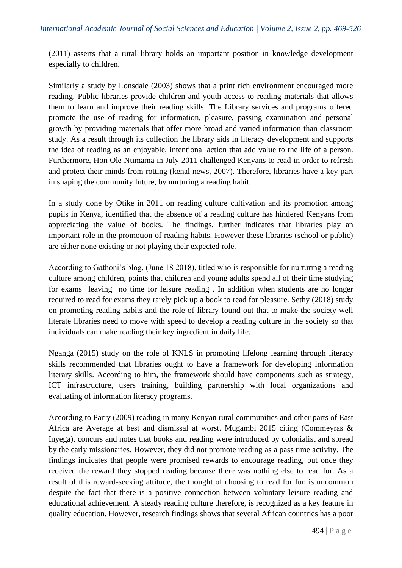(2011) asserts that a rural library holds an important position in knowledge development especially to children.

Similarly a study by Lonsdale (2003) shows that a print rich environment encouraged more reading. Public libraries provide children and youth access to reading materials that allows them to learn and improve their reading skills. The Library services and programs offered promote the use of reading for information, pleasure, passing examination and personal growth by providing materials that offer more broad and varied information than classroom study. As a result through its collection the library aids in literacy development and supports the idea of reading as an enjoyable, intentional action that add value to the life of a person. Furthermore, Hon Ole Ntimama in July 2011 challenged Kenyans to read in order to refresh and protect their minds from rotting (kenal news, 2007). Therefore, libraries have a key part in shaping the community future, by nurturing a reading habit.

In a study done by Otike in 2011 on reading culture cultivation and its promotion among pupils in Kenya, identified that the absence of a reading culture has hindered Kenyans from appreciating the value of books. The findings, further indicates that libraries play an important role in the promotion of reading habits. However these libraries (school or public) are either none existing or not playing their expected role.

According to Gathoni's blog, (June 18 2018), titled who is responsible for nurturing a reading culture among children, points that children and young adults spend all of their time studying for exams leaving no time for leisure reading . In addition when students are no longer required to read for exams they rarely pick up a book to read for pleasure. Sethy (2018) study on promoting reading habits and the role of library found out that to make the society well literate libraries need to move with speed to develop a reading culture in the society so that individuals can make reading their key ingredient in daily life.

Nganga (2015) study on the role of KNLS in promoting lifelong learning through literacy skills recommended that libraries ought to have a framework for developing information literary skills. According to him, the framework should have components such as strategy, ICT infrastructure, users training, building partnership with local organizations and evaluating of information literacy programs.

According to Parry (2009) reading in many Kenyan rural communities and other parts of East Africa are Average at best and dismissal at worst. Mugambi 2015 citing (Commeyras  $\&$ Inyega), concurs and notes that books and reading were introduced by colonialist and spread by the early missionaries. However, they did not promote reading as a pass time activity. The findings indicates that people were promised rewards to encourage reading, but once they received the reward they stopped reading because there was nothing else to read for. As a result of this reward-seeking attitude, the thought of choosing to read for fun is uncommon despite the fact that there is a positive connection between voluntary leisure reading and educational achievement. A steady reading culture therefore, is recognized as a key feature in quality education. However, research findings shows that several African countries has a poor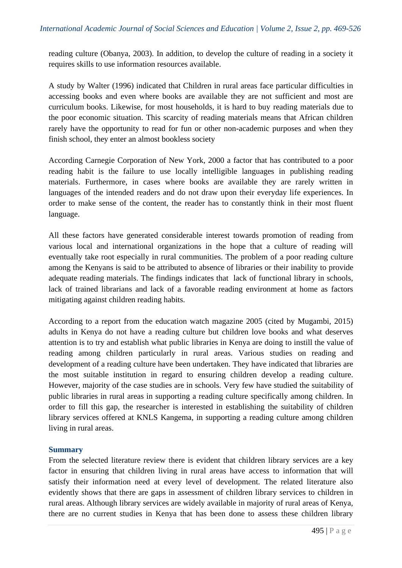reading culture (Obanya, 2003). In addition, to develop the culture of reading in a society it requires skills to use information resources available.

A study by Walter (1996) indicated that Children in rural areas face particular difficulties in accessing books and even where books are available they are not sufficient and most are curriculum books. Likewise, for most households, it is hard to buy reading materials due to the poor economic situation. This scarcity of reading materials means that African children rarely have the opportunity to read for fun or other non-academic purposes and when they finish school, they enter an almost bookless society

According Carnegie Corporation of New York, 2000 a factor that has contributed to a poor reading habit is the failure to use locally intelligible languages in publishing reading materials. Furthermore, in cases where books are available they are rarely written in languages of the intended readers and do not draw upon their everyday life experiences. In order to make sense of the content, the reader has to constantly think in their most fluent language.

All these factors have generated considerable interest towards promotion of reading from various local and international organizations in the hope that a culture of reading will eventually take root especially in rural communities. The problem of a poor reading culture among the Kenyans is said to be attributed to absence of libraries or their inability to provide adequate reading materials. The findings indicates that lack of functional library in schools, lack of trained librarians and lack of a favorable reading environment at home as factors mitigating against children reading habits.

According to a report from the education watch magazine 2005 (cited by Mugambi, 2015) adults in Kenya do not have a reading culture but children love books and what deserves attention is to try and establish what public libraries in Kenya are doing to instill the value of reading among children particularly in rural areas. Various studies on reading and development of a reading culture have been undertaken. They have indicated that libraries are the most suitable institution in regard to ensuring children develop a reading culture. However, majority of the case studies are in schools. Very few have studied the suitability of public libraries in rural areas in supporting a reading culture specifically among children. In order to fill this gap, the researcher is interested in establishing the suitability of children library services offered at KNLS Kangema, in supporting a reading culture among children living in rural areas.

### **Summary**

From the selected literature review there is evident that children library services are a key factor in ensuring that children living in rural areas have access to information that will satisfy their information need at every level of development. The related literature also evidently shows that there are gaps in assessment of children library services to children in rural areas. Although library services are widely available in majority of rural areas of Kenya, there are no current studies in Kenya that has been done to assess these children library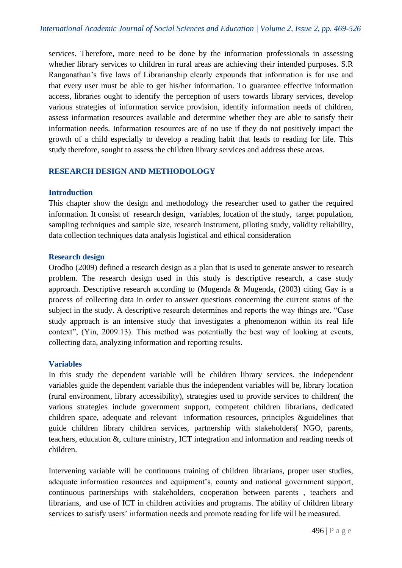services. Therefore, more need to be done by the information professionals in assessing whether library services to children in rural areas are achieving their intended purposes. S.R Ranganathan's five laws of Librarianship clearly expounds that information is for use and that every user must be able to get his/her information. To guarantee effective information access, libraries ought to identify the perception of users towards library services, develop various strategies of information service provision, identify information needs of children, assess information resources available and determine whether they are able to satisfy their information needs. Information resources are of no use if they do not positively impact the growth of a child especially to develop a reading habit that leads to reading for life. This study therefore, sought to assess the children library services and address these areas.

### **RESEARCH DESIGN AND METHODOLOGY**

### **Introduction**

This chapter show the design and methodology the researcher used to gather the required information. It consist of research design, variables, location of the study, target population, sampling techniques and sample size, research instrument, piloting study, validity reliability, data collection techniques data analysis logistical and ethical consideration

### **Research design**

Orodho (2009) defined a research design as a plan that is used to generate answer to research problem. The research design used in this study is descriptive research, a case study approach. Descriptive research according to (Mugenda & Mugenda, (2003) citing Gay is a process of collecting data in order to answer questions concerning the current status of the subject in the study. A descriptive research determines and reports the way things are. "Case study approach is an intensive study that investigates a phenomenon within its real life context", (Yin, 2009:13). This method was potentially the best way of looking at events, collecting data, analyzing information and reporting results.

### **Variables**

In this study the dependent variable will be children library services. the independent variables guide the dependent variable thus the independent variables will be, library location (rural environment, library accessibility), strategies used to provide services to children( the various strategies include government support, competent children librarians, dedicated children space, adequate and relevant information resources, principles &guidelines that guide children library children services, partnership with stakeholders( NGO, parents, teachers, education &, culture ministry, ICT integration and information and reading needs of children.

Intervening variable will be continuous training of children librarians, proper user studies, adequate information resources and equipment's, county and national government support, continuous partnerships with stakeholders, cooperation between parents , teachers and librarians, and use of ICT in children activities and programs. The ability of children library services to satisfy users' information needs and promote reading for life will be measured.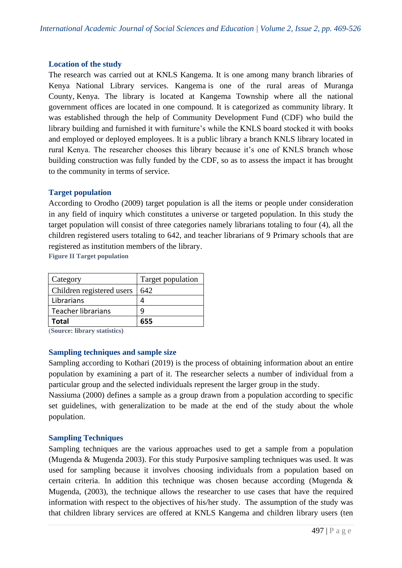### **Location of the study**

The research was carried out at KNLS Kangema. It is one among many branch libraries of Kenya National Library services. Kangema is one of the rural areas of [Muranga](https://en.wikipedia.org/wiki/Muranga_County)  [County,](https://en.wikipedia.org/wiki/Muranga_County) [Kenya.](https://en.wikipedia.org/wiki/Kenya) The library is located at Kangema Township where all the national government offices are located in one compound. It is categorized as community library. It was established through the help of Community Development Fund (CDF) who build the library building and furnished it with furniture's while the KNLS board stocked it with books and employed or deployed employees. It is a public library a branch KNLS library located in rural Kenya. The researcher chooses this library because it's one of KNLS branch whose building construction was fully funded by the CDF, so as to assess the impact it has brought to the community in terms of service.

# **Target population**

According to Orodho (2009) target population is all the items or people under consideration in any field of inquiry which constitutes a universe or targeted population. In this study the target population will consist of three categories namely librarians totaling to four (4), all the children registered users totaling to 642, and teacher librarians of 9 Primary schools that are registered as institution members of the library.

**Figure II Target population**

| Category                  | Target population |
|---------------------------|-------------------|
| Children registered users | 642               |
| Librarians                |                   |
| Teacher librarians        | q                 |
| <b>Total</b>              | 655               |

(**Source: library statistics)**

### **Sampling techniques and sample size**

Sampling according to Kothari (2019) is the process of obtaining information about an entire population by examining a part of it. The researcher selects a number of individual from a particular group and the selected individuals represent the larger group in the study.

Nassiuma (2000) defines a sample as a group drawn from a population according to specific set guidelines, with generalization to be made at the end of the study about the whole population.

### **Sampling Techniques**

Sampling techniques are the various approaches used to get a sample from a population (Mugenda & Mugenda 2003). For this study Purposive sampling techniques was used. It was used for sampling because it involves choosing individuals from a population based on certain criteria. In addition this technique was chosen because according (Mugenda & Mugenda, (2003), the technique allows the researcher to use cases that have the required information with respect to the objectives of his/her study. The assumption of the study was that children library services are offered at KNLS Kangema and children library users (ten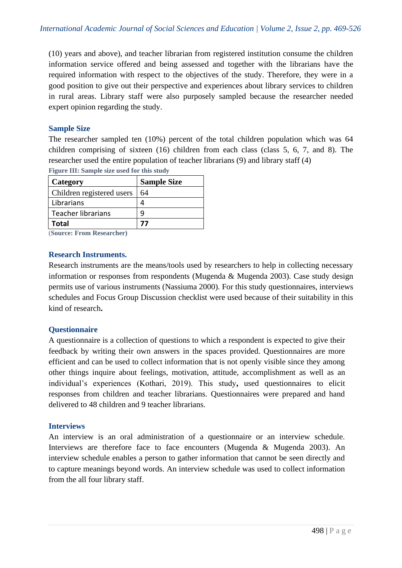(10) years and above), and teacher librarian from registered institution consume the children information service offered and being assessed and together with the librarians have the required information with respect to the objectives of the study. Therefore, they were in a good position to give out their perspective and experiences about library services to children in rural areas. Library staff were also purposely sampled because the researcher needed expert opinion regarding the study.

### **Sample Size**

The researcher sampled ten (10%) percent of the total children population which was 64 children comprising of sixteen (16) children from each class (class 5, 6, 7, and 8). The researcher used the entire population of teacher librarians (9) and library staff (4) **Figure III: Sample size used for this study**

| Category                  | <b>Sample Size</b> |
|---------------------------|--------------------|
| Children registered users | 64                 |
| Librarians                |                    |
| Teacher librarians        |                    |
| <b>Total</b>              | 77                 |

(**Source: From Researcher)**

### **Research Instruments.**

Research instruments are the means/tools used by researchers to help in collecting necessary information or responses from respondents (Mugenda & Mugenda 2003). Case study design permits use of various instruments (Nassiuma 2000). For this study questionnaires, interviews schedules and Focus Group Discussion checklist were used because of their suitability in this kind of research**.** 

### **Questionnaire**

A questionnaire is a collection of questions to which a respondent is expected to give their feedback by writing their own answers in the spaces provided. Questionnaires are more efficient and can be used to collect information that is not openly visible since they among other things inquire about feelings, motivation, attitude, accomplishment as well as an individual's experiences (Kothari, 2019). This study**,** used questionnaires to elicit responses from children and teacher librarians. Questionnaires were prepared and hand delivered to 48 children and 9 teacher librarians.

### **Interviews**

An interview is an oral administration of a questionnaire or an interview schedule. Interviews are therefore face to face encounters (Mugenda & Mugenda 2003). An interview schedule enables a person to gather information that cannot be seen directly and to capture meanings beyond words. An interview schedule was used to collect information from the all four library staff.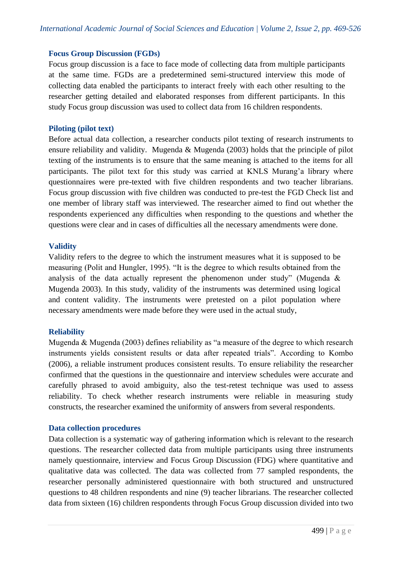### **Focus Group Discussion (FGDs)**

Focus group discussion is a face to face mode of collecting data from multiple participants at the same time. FGDs are a predetermined semi-structured interview this mode of collecting data enabled the participants to interact freely with each other resulting to the researcher getting detailed and elaborated responses from different participants. In this study Focus group discussion was used to collect data from 16 children respondents.

### **Piloting (pilot text)**

Before actual data collection, a researcher conducts pilot texting of research instruments to ensure reliability and validity. Mugenda & Mugenda (2003) holds that the principle of pilot texting of the instruments is to ensure that the same meaning is attached to the items for all participants. The pilot text for this study was carried at KNLS Murang'a library where questionnaires were pre-texted with five children respondents and two teacher librarians. Focus group discussion with five children was conducted to pre-test the FGD Check list and one member of library staff was interviewed. The researcher aimed to find out whether the respondents experienced any difficulties when responding to the questions and whether the questions were clear and in cases of difficulties all the necessary amendments were done.

### **Validity**

Validity refers to the degree to which the instrument measures what it is supposed to be measuring (Polit and Hungler, 1995). "It is the degree to which results obtained from the analysis of the data actually represent the phenomenon under study" (Mugenda & Mugenda 2003). In this study, validity of the instruments was determined using logical and content validity. The instruments were pretested on a pilot population where necessary amendments were made before they were used in the actual study,

### **Reliability**

Mugenda & Mugenda (2003) defines reliability as "a measure of the degree to which research instruments yields consistent results or data after repeated trials". According to Kombo (2006), a reliable instrument produces consistent results. To ensure reliability the researcher confirmed that the questions in the questionnaire and interview schedules were accurate and carefully phrased to avoid ambiguity, also the test-retest technique was used to assess reliability. To check whether research instruments were reliable in measuring study constructs, the researcher examined the uniformity of answers from several respondents.

### **Data collection procedures**

Data collection is a systematic way of gathering information which is relevant to the research questions. The researcher collected data from multiple participants using three instruments namely questionnaire, interview and Focus Group Discussion (FDG) where quantitative and qualitative data was collected. The data was collected from 77 sampled respondents, the researcher personally administered questionnaire with both structured and unstructured questions to 48 children respondents and nine (9) teacher librarians. The researcher collected data from sixteen (16) children respondents through Focus Group discussion divided into two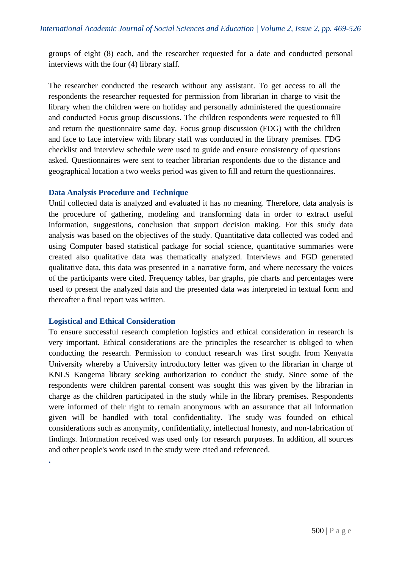groups of eight (8) each, and the researcher requested for a date and conducted personal interviews with the four (4) library staff.

The researcher conducted the research without any assistant. To get access to all the respondents the researcher requested for permission from librarian in charge to visit the library when the children were on holiday and personally administered the questionnaire and conducted Focus group discussions. The children respondents were requested to fill and return the questionnaire same day, Focus group discussion (FDG) with the children and face to face interview with library staff was conducted in the library premises. FDG checklist and interview schedule were used to guide and ensure consistency of questions asked. Questionnaires were sent to teacher librarian respondents due to the distance and geographical location a two weeks period was given to fill and return the questionnaires.

### **Data Analysis Procedure and Technique**

Until collected data is analyzed and evaluated it has no meaning. Therefore, data analysis is the procedure of gathering, modeling and transforming data in order to extract useful information, suggestions, conclusion that support decision making. For this study data analysis was based on the objectives of the study. Quantitative data collected was coded and using Computer based statistical package for social science, quantitative summaries were created also qualitative data was thematically analyzed. Interviews and FGD generated qualitative data, this data was presented in a narrative form, and where necessary the voices of the participants were cited. Frequency tables, bar graphs, pie charts and percentages were used to present the analyzed data and the presented data was interpreted in textual form and thereafter a final report was written.

### **Logistical and Ethical Consideration**

**.**

To ensure successful research completion logistics and ethical consideration in research is very important. Ethical considerations are the principles the researcher is obliged to when conducting the research. Permission to conduct research was first sought from Kenyatta University whereby a University introductory letter was given to the librarian in charge of KNLS Kangema library seeking authorization to conduct the study. Since some of the respondents were children parental consent was sought this was given by the librarian in charge as the children participated in the study while in the library premises. Respondents were informed of their right to remain anonymous with an assurance that all information given will be handled with total confidentiality. The study was founded on ethical considerations such as anonymity, confidentiality, intellectual honesty, and non-fabrication of findings. Information received was used only for research purposes. In addition, all sources and other people's work used in the study were cited and referenced.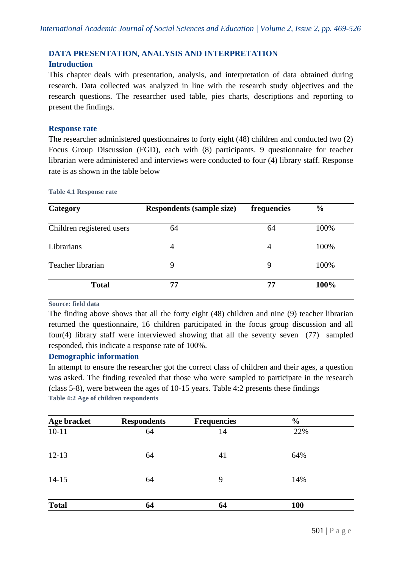# **DATA PRESENTATION, ANALYSIS AND INTERPRETATION**

### **Introduction**

This chapter deals with presentation, analysis, and interpretation of data obtained during research. Data collected was analyzed in line with the research study objectives and the research questions. The researcher used table, pies charts, descriptions and reporting to present the findings.

### **Response rate**

The researcher administered questionnaires to forty eight (48) children and conducted two (2) Focus Group Discussion (FGD), each with (8) participants. 9 questionnaire for teacher librarian were administered and interviews were conducted to four (4) library staff. Response rate is as shown in the table below

#### **Table 4.1 Response rate**

| Category                  | <b>Respondents (sample size)</b> | frequencies    | $\frac{6}{6}$ |
|---------------------------|----------------------------------|----------------|---------------|
| Children registered users | 64                               | 64             | 100%          |
| Librarians                | 4                                | $\overline{4}$ | 100%          |
| Teacher librarian         | 9                                | 9              | 100%          |
| <b>Total</b>              | 77                               | 77             | 100%          |

**Source: field data**

The finding above shows that all the forty eight (48) children and nine (9) teacher librarian returned the questionnaire, 16 children participated in the focus group discussion and all four(4) library staff were interviewed showing that all the seventy seven (77) sampled responded, this indicate a response rate of 100%.

### **Demographic information**

In attempt to ensure the researcher got the correct class of children and their ages, a question was asked. The finding revealed that those who were sampled to participate in the research (class 5-8), were between the ages of 10-15 years. Table 4:2 presents these findings **Table 4:2 Age of children respondents** 

| Age bracket  | <b>Respondents</b> | <b>Frequencies</b> | $\frac{0}{0}$ |  |
|--------------|--------------------|--------------------|---------------|--|
| $10 - 11$    | 64                 | 14                 | 22%           |  |
| $12 - 13$    | 64                 | 41                 | 64%           |  |
| $14 - 15$    | 64                 | 9                  | 14%           |  |
| <b>Total</b> | 64                 | 64                 | <b>100</b>    |  |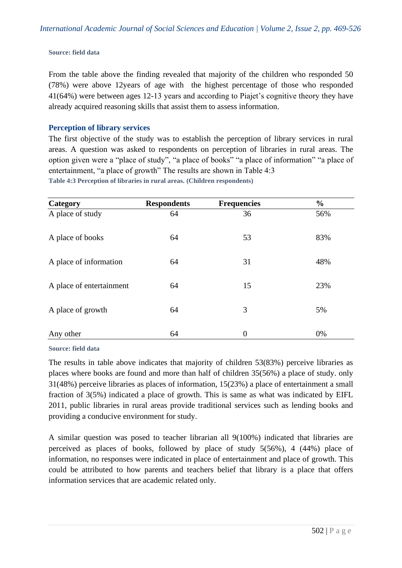**Source: field data**

From the table above the finding revealed that majority of the children who responded 50 (78%) were above 12years of age with the highest percentage of those who responded 41(64%) were between ages 12-13 years and according to Piajet's cognitive theory they have already acquired reasoning skills that assist them to assess information.

### **Perception of library services**

The first objective of the study was to establish the perception of library services in rural areas. A question was asked to respondents on perception of libraries in rural areas. The option given were a "place of study", "a place of books" "a place of information" "a place of entertainment, "a place of growth" The results are shown in Table 4:3 **Table 4:3 Perception of libraries in rural areas. (Children respondents)**

| Category                 | <b>Respondents</b> | <b>Frequencies</b> | $\frac{0}{0}$ |
|--------------------------|--------------------|--------------------|---------------|
| A place of study         | 64                 | 36                 | 56%           |
| A place of books         | 64                 | 53                 | 83%           |
| A place of information   | 64                 | 31                 | 48%           |
| A place of entertainment | 64                 | 15                 | 23%           |
| A place of growth        | 64                 | 3                  | 5%            |
| Any other                | 64                 | $\overline{0}$     | 0%            |

**Source: field data**

The results in table above indicates that majority of children 53(83%) perceive libraries as places where books are found and more than half of children 35(56%) a place of study. only 31(48%) perceive libraries as places of information, 15(23%) a place of entertainment a small fraction of 3(5%) indicated a place of growth. This is same as what was indicated by EIFL 2011, public libraries in rural areas provide traditional services such as lending books and providing a conducive environment for study.

A similar question was posed to teacher librarian all 9(100%) indicated that libraries are perceived as places of books, followed by place of study 5(56%), 4 (44%) place of information, no responses were indicated in place of entertainment and place of growth. This could be attributed to how parents and teachers belief that library is a place that offers information services that are academic related only.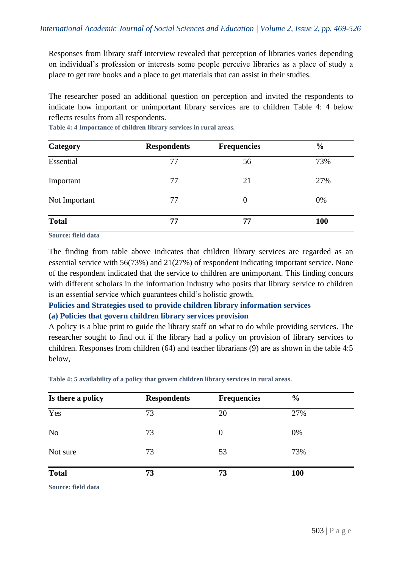Responses from library staff interview revealed that perception of libraries varies depending on individual's profession or interests some people perceive libraries as a place of study a place to get rare books and a place to get materials that can assist in their studies.

The researcher posed an additional question on perception and invited the respondents to indicate how important or unimportant library services are to children Table 4: 4 below reflects results from all respondents.

| Category      | <b>Respondents</b> | <b>Frequencies</b> | $\frac{6}{9}$ |
|---------------|--------------------|--------------------|---------------|
| Essential     | 77                 | 56                 | 73%           |
| Important     | 77                 | 21                 | 27%           |
| Not Important | 77                 | 0                  | 0%            |
| <b>Total</b>  | 77                 | 77                 | <b>100</b>    |

**Table 4: 4 Importance of children library services in rural areas.**

**Source: field data**

The finding from table above indicates that children library services are regarded as an essential service with 56(73%) and 21(27%) of respondent indicating important service. None of the respondent indicated that the service to children are unimportant. This finding concurs with different scholars in the information industry who posits that library service to children is an essential service which guarantees child's holistic growth.

# **Policies and Strategies used to provide children library information services (a) Policies that govern children library services provision**

A policy is a blue print to guide the library staff on what to do while providing services. The researcher sought to find out if the library had a policy on provision of library services to children. Responses from children (64) and teacher librarians (9) are as shown in the table 4:5 below,

**Table 4: 5 availability of a policy that govern children library services in rural areas.**

| Is there a policy | <b>Respondents</b> | <b>Frequencies</b> | $\frac{6}{6}$ |
|-------------------|--------------------|--------------------|---------------|
| Yes               | 73                 | 20                 | 27%           |
| N <sub>o</sub>    | 73                 | $\overline{0}$     | 0%            |
| Not sure          | 73                 | 53                 | 73%           |
| <b>Total</b>      | 73                 | 73                 | <b>100</b>    |

**Source: field data**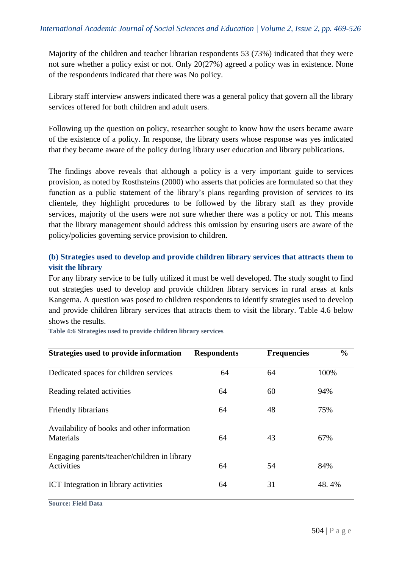Majority of the children and teacher librarian respondents 53 (73%) indicated that they were not sure whether a policy exist or not. Only 20(27%) agreed a policy was in existence. None of the respondents indicated that there was No policy.

Library staff interview answers indicated there was a general policy that govern all the library services offered for both children and adult users.

Following up the question on policy, researcher sought to know how the users became aware of the existence of a policy. In response, the library users whose response was yes indicated that they became aware of the policy during library user education and library publications.

The findings above reveals that although a policy is a very important guide to services provision, as noted by Rosthsteins (2000) who asserts that policies are formulated so that they function as a public statement of the library's plans regarding provision of services to its clientele, they highlight procedures to be followed by the library staff as they provide services, majority of the users were not sure whether there was a policy or not. This means that the library management should address this omission by ensuring users are aware of the policy/policies governing service provision to children.

# **(b) Strategies used to develop and provide children library services that attracts them to visit the library**

For any library service to be fully utilized it must be well developed. The study sought to find out strategies used to develop and provide children library services in rural areas at knls Kangema. A question was posed to children respondents to identify strategies used to develop and provide children library services that attracts them to visit the library. Table 4.6 below shows the results.

**Table 4:6 Strategies used to provide children library services**

| Strategies used to provide information                     | <b>Respondents</b> | <b>Frequencies</b> | $\frac{0}{0}$ |
|------------------------------------------------------------|--------------------|--------------------|---------------|
| Dedicated spaces for children services                     | 64                 | 64                 | 100%          |
| Reading related activities                                 | 64                 | 60                 | 94%           |
| Friendly librarians                                        | 64                 | 48                 | 75%           |
| Availability of books and other information<br>Materials   | 64                 | 43                 | 67%           |
| Engaging parents/teacher/children in library<br>Activities | 64                 | 54                 | 84%           |
| <b>ICT</b> Integration in library activities               | 64                 | 31                 | 48.4%         |

**Source: Field Data**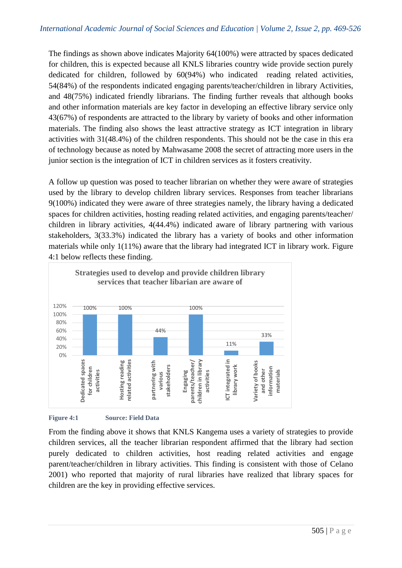The findings as shown above indicates Majority 64(100%) were attracted by spaces dedicated for children, this is expected because all KNLS libraries country wide provide section purely dedicated for children, followed by 60(94%) who indicated reading related activities, 54(84%) of the respondents indicated engaging parents/teacher/children in library Activities, and 48(75%) indicated friendly librarians. The finding further reveals that although books and other information materials are key factor in developing an effective library service only 43(67%) of respondents are attracted to the library by variety of books and other information materials. The finding also shows the least attractive strategy as ICT integration in library activities with 31(48.4%) of the children respondents. This should not be the case in this era of technology because as noted by Mahwasame 2008 the secret of attracting more users in the junior section is the integration of ICT in children services as it fosters creativity.

A follow up question was posed to teacher librarian on whether they were aware of strategies used by the library to develop children library services. Responses from teacher librarians 9(100%) indicated they were aware of three strategies namely, the library having a dedicated spaces for children activities, hosting reading related activities, and engaging parents/teacher/ children in library activities, 4(44.4%) indicated aware of library partnering with various stakeholders, 3(33.3%) indicated the library has a variety of books and other information materials while only 1(11%) aware that the library had integrated ICT in library work. Figure 4:1 below reflects these finding.





From the finding above it shows that KNLS Kangema uses a variety of strategies to provide children services, all the teacher librarian respondent affirmed that the library had section purely dedicated to children activities, host reading related activities and engage parent/teacher/children in library activities. This finding is consistent with those of Celano 2001) who reported that majority of rural libraries have realized that library spaces for children are the key in providing effective services.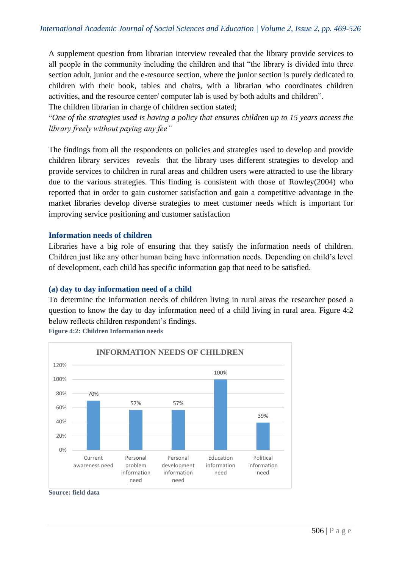A supplement question from librarian interview revealed that the library provide services to all people in the community including the children and that "the library is divided into three section adult, junior and the e-resource section, where the junior section is purely dedicated to children with their book, tables and chairs, with a librarian who coordinates children activities, and the resource center/ computer lab is used by both adults and children".

The children librarian in charge of children section stated;

"*One of the strategies used is having a policy that ensures children up to 15 years access the library freely without paying any fee"*

The findings from all the respondents on policies and strategies used to develop and provide children library services reveals that the library uses different strategies to develop and provide services to children in rural areas and children users were attracted to use the library due to the various strategies. This finding is consistent with those of Rowley(2004) who reported that in order to gain customer satisfaction and gain a competitive advantage in the market libraries develop diverse strategies to meet customer needs which is important for improving service positioning and customer satisfaction

### **Information needs of children**

Libraries have a big role of ensuring that they satisfy the information needs of children. Children just like any other human being have information needs. Depending on child's level of development, each child has specific information gap that need to be satisfied.

### **(a) day to day information need of a child**

To determine the information needs of children living in rural areas the researcher posed a question to know the day to day information need of a child living in rural area. Figure 4:2 below reflects children respondent's findings.



**Figure 4:2: Children Information needs** 

**Source: field data**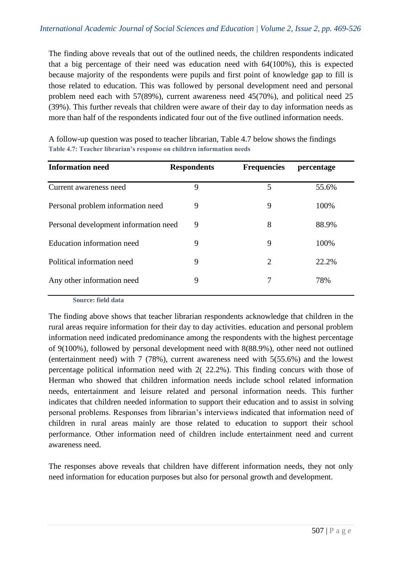The finding above reveals that out of the outlined needs, the children respondents indicated that a big percentage of their need was education need with 64(100%), this is expected because majority of the respondents were pupils and first point of knowledge gap to fill is those related to education. This was followed by personal development need and personal problem need each with 57(89%), current awareness need 45(70%), and political need 25 (39%). This further reveals that children were aware of their day to day information needs as more than half of the respondents indicated four out of the five outlined information needs.

| <b>Information need</b>               | <b>Respondents</b> | <b>Frequencies</b> | percentage |
|---------------------------------------|--------------------|--------------------|------------|
| Current awareness need                | 9                  | 5                  | 55.6%      |
| Personal problem information need     | 9                  | 9                  | 100%       |
| Personal development information need | 9                  | 8                  | 88.9%      |
| Education information need            | 9                  | 9                  | 100%       |
| Political information need            | 9                  | $\overline{2}$     | 22.2%      |
| Any other information need            | 9                  | 7                  | 78%        |

A follow-up question was posed to teacher librarian, Table 4.7 below shows the findings **Table 4.7: Teacher librarian's response on children information needs**

**Source: field data**

The finding above shows that teacher librarian respondents acknowledge that children in the rural areas require information for their day to day activities. education and personal problem information need indicated predominance among the respondents with the highest percentage of 9(100%), followed by personal development need with 8(88.9%), other need not outlined (entertainment need) with 7 (78%), current awareness need with 5(55.6%) and the lowest percentage political information need with 2( 22.2%). This finding concurs with those of Herman who showed that children information needs include school related information needs, entertainment and leisure related and personal information needs. This further indicates that children needed information to support their education and to assist in solving personal problems. Responses from librarian's interviews indicated that information need of children in rural areas mainly are those related to education to support their school performance. Other information need of children include entertainment need and current awareness need.

The responses above reveals that children have different information needs, they not only need information for education purposes but also for personal growth and development.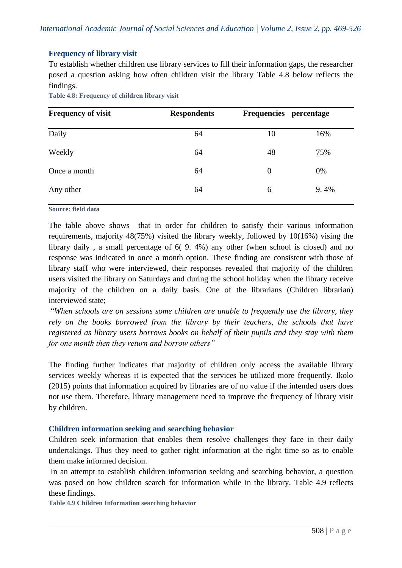# **Frequency of library visit**

To establish whether children use library services to fill their information gaps, the researcher posed a question asking how often children visit the library Table 4.8 below reflects the findings.

| <b>Frequency of visit</b> | <b>Respondents</b> | Frequencies percentage |      |
|---------------------------|--------------------|------------------------|------|
| Daily                     | 64                 | 10                     | 16%  |
| Weekly                    | 64                 | 48                     | 75%  |
| Once a month              | 64                 | $\overline{0}$         | 0%   |
| Any other                 | 64                 | 6                      | 9.4% |

**Table 4.8: Frequency of children library visit**

**Source: field data**

The table above shows that in order for children to satisfy their various information requirements, majority 48(75%) visited the library weekly, followed by 10(16%) vising the library daily , a small percentage of 6( 9. 4%) any other (when school is closed) and no response was indicated in once a month option. These finding are consistent with those of library staff who were interviewed, their responses revealed that majority of the children users visited the library on Saturdays and during the school holiday when the library receive majority of the children on a daily basis. One of the librarians (Children librarian) interviewed state;

"*When schools are on sessions some children are unable to frequently use the library, they rely on the books borrowed from the library by their teachers, the schools that have registered as library users borrows books on behalf of their pupils and they stay with them for one month then they return and borrow others"*

The finding further indicates that majority of children only access the available library services weekly whereas it is expected that the services be utilized more frequently. Ikolo (2015) points that information acquired by libraries are of no value if the intended users does not use them. Therefore, library management need to improve the frequency of library visit by children.

### **Children information seeking and searching behavior**

Children seek information that enables them resolve challenges they face in their daily undertakings. Thus they need to gather right information at the right time so as to enable them make informed decision.

In an attempt to establish children information seeking and searching behavior, a question was posed on how children search for information while in the library. Table 4.9 reflects these findings.

**Table 4.9 Children Information searching behavior**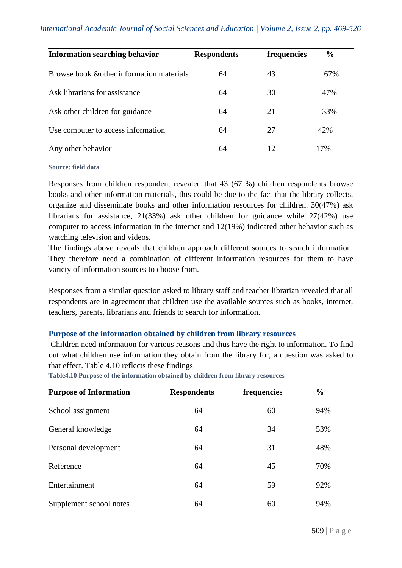| <b>Information searching behavior</b>     | <b>Respondents</b> | frequencies | $\frac{6}{6}$ |
|-------------------------------------------|--------------------|-------------|---------------|
| Browse book & other information materials | 64                 | 43          | 67%           |
| Ask librarians for assistance             | 64                 | 30          | 47%           |
| Ask other children for guidance           | 64                 | 21          | 33%           |
| Use computer to access information        | 64                 | 27          | 42%           |
| Any other behavior                        | 64                 | 12          | 17%           |

#### **Source: field data**

Responses from children respondent revealed that 43 (67 %) children respondents browse books and other information materials, this could be due to the fact that the library collects, organize and disseminate books and other information resources for children. 30(47%) ask librarians for assistance, 21(33%) ask other children for guidance while 27(42%) use computer to access information in the internet and 12(19%) indicated other behavior such as watching television and videos.

The findings above reveals that children approach different sources to search information. They therefore need a combination of different information resources for them to have variety of information sources to choose from.

Responses from a similar question asked to library staff and teacher librarian revealed that all respondents are in agreement that children use the available sources such as books, internet, teachers, parents, librarians and friends to search for information.

### **Purpose of the information obtained by children from library resources**

Children need information for various reasons and thus have the right to information. To find out what children use information they obtain from the library for, a question was asked to that effect. Table 4.10 reflects these findings

| <b>Purpose of Information</b> | <b>Respondents</b> | frequencies | $\frac{6}{10}$ |
|-------------------------------|--------------------|-------------|----------------|
| School assignment             | 64                 | 60          | 94%            |
| General knowledge             | 64                 | 34          | 53%            |
| Personal development          | 64                 | 31          | 48%            |
| Reference                     | 64                 | 45          | 70%            |
| Entertainment                 | 64                 | 59          | 92%            |
| Supplement school notes       | 64                 | 60          | 94%            |

**Table4.10 Purpose of the information obtained by children from library resources**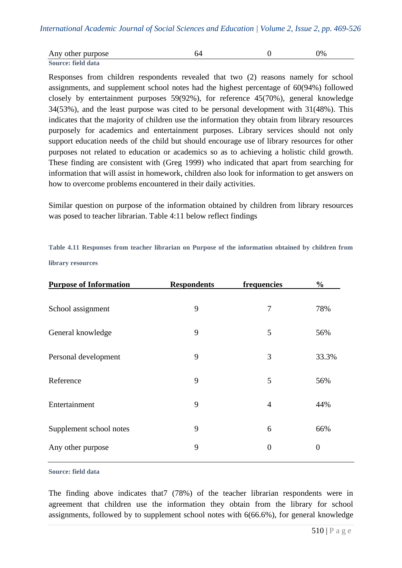| Any other purpose  |  | $\frac{1}{2}$ |
|--------------------|--|---------------|
| Source: field data |  |               |

Responses from children respondents revealed that two (2) reasons namely for school assignments, and supplement school notes had the highest percentage of 60(94%) followed closely by entertainment purposes 59(92%), for reference 45(70%), general knowledge 34(53%), and the least purpose was cited to be personal development with 31(48%). This indicates that the majority of children use the information they obtain from library resources purposely for academics and entertainment purposes. Library services should not only support education needs of the child but should encourage use of library resources for other purposes not related to education or academics so as to achieving a holistic child growth. These finding are consistent with (Greg 1999) who indicated that apart from searching for information that will assist in homework, children also look for information to get answers on how to overcome problems encountered in their daily activities.

Similar question on purpose of the information obtained by children from library resources was posed to teacher librarian. Table 4:11 below reflect findings

**Table 4.11 Responses from teacher librarian on Purpose of the information obtained by children from library resources**

| <b>Purpose of Information</b> | <b>Respondents</b> | frequencies      | $\frac{0}{0}$    |
|-------------------------------|--------------------|------------------|------------------|
| School assignment             | 9                  | 7                | 78%              |
| General knowledge             | 9                  | 5                | 56%              |
| Personal development          | 9                  | 3                | 33.3%            |
| Reference                     | 9                  | 5                | 56%              |
| Entertainment                 | 9                  | 4                | 44%              |
| Supplement school notes       | 9                  | 6                | 66%              |
| Any other purpose             | 9                  | $\boldsymbol{0}$ | $\boldsymbol{0}$ |

#### **Source: field data**

The finding above indicates that7 (78%) of the teacher librarian respondents were in agreement that children use the information they obtain from the library for school assignments, followed by to supplement school notes with 6(66.6%), for general knowledge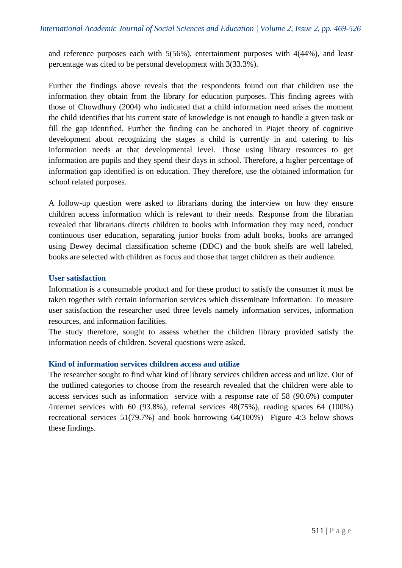and reference purposes each with 5(56%), entertainment purposes with 4(44%), and least percentage was cited to be personal development with 3(33.3%).

Further the findings above reveals that the respondents found out that children use the information they obtain from the library for education purposes. This finding agrees with those of Chowdhury (2004) who indicated that a child information need arises the moment the child identifies that his current state of knowledge is not enough to handle a given task or fill the gap identified. Further the finding can be anchored in Piajet theory of cognitive development about recognizing the stages a child is currently in and catering to his information needs at that developmental level. Those using library resources to get information are pupils and they spend their days in school. Therefore, a higher percentage of information gap identified is on education. They therefore, use the obtained information for school related purposes.

A follow-up question were asked to librarians during the interview on how they ensure children access information which is relevant to their needs. Response from the librarian revealed that librarians directs children to books with information they may need, conduct continuous user education, separating junior books from adult books, books are arranged using Dewey decimal classification scheme (DDC) and the book shelfs are well labeled, books are selected with children as focus and those that target children as their audience.

### **User satisfaction**

Information is a consumable product and for these product to satisfy the consumer it must be taken together with certain information services which disseminate information. To measure user satisfaction the researcher used three levels namely information services, information resources, and information facilities.

The study therefore, sought to assess whether the children library provided satisfy the information needs of children. Several questions were asked.

### **Kind of information services children access and utilize**

The researcher sought to find what kind of library services children access and utilize. Out of the outlined categories to choose from the research revealed that the children were able to access services such as information service with a response rate of 58 (90.6%) computer /internet services with 60 (93.8%), referral services  $48(75%)$ , reading spaces 64 (100%) recreational services 51(79.7%) and book borrowing 64(100%) Figure 4:3 below shows these findings.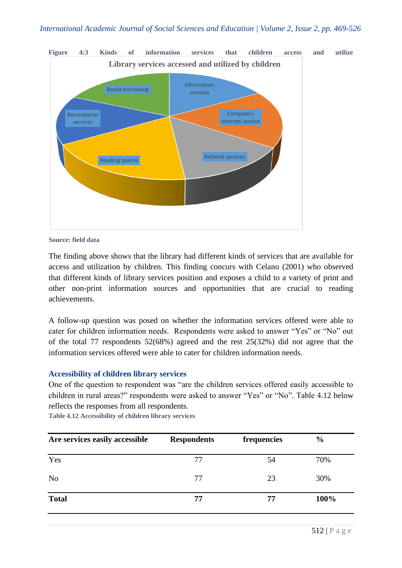

**Source: field data**

The finding above shows that the library had different kinds of services that are available for access and utilization by children. This finding concurs with Celano (2001) who observed that different kinds of library services position and exposes a child to a variety of print and other non-print information sources and opportunities that are crucial to reading achievements.

A follow-up question was posed on whether the information services offered were able to cater for children information needs. Respondents were asked to answer "Yes" or "No" out of the total 77 respondents 52(68%) agreed and the rest 25(32%) did not agree that the information services offered were able to cater for children information needs.

### **Accessibility of children library services**

One of the question to respondent was "are the children services offered easily accessible to children in rural areas?" respondents were asked to answer "Yes" or "No". Table 4.12 below reflects the responses from all respondents.

**Table 4.12 Accessibility of children library services**

| Are services easily accessible | <b>Respondents</b> | frequencies | $\frac{0}{0}$ |
|--------------------------------|--------------------|-------------|---------------|
| Yes                            | 77                 | 54          | 70%           |
| N <sub>0</sub>                 | 77                 | 23          | 30%           |
| <b>Total</b>                   | 77                 | 77          | 100%          |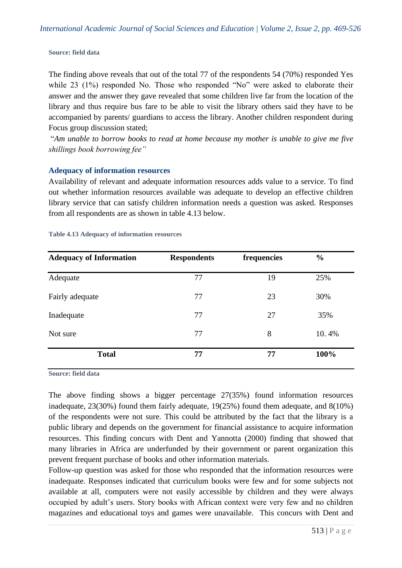#### **Source: field data**

The finding above reveals that out of the total 77 of the respondents 54 (70%) responded Yes while 23 (1%) responded No. Those who responded "No" were asked to elaborate their answer and the answer they gave revealed that some children live far from the location of the library and thus require bus fare to be able to visit the library others said they have to be accompanied by parents/ guardians to access the library. Another children respondent during Focus group discussion stated;

"*Am unable to borrow books to read at home because my mother is unable to give me five shillings book borrowing fee"*

### **Adequacy of information resources**

Availability of relevant and adequate information resources adds value to a service. To find out whether information resources available was adequate to develop an effective children library service that can satisfy children information needs a question was asked. Responses from all respondents are as shown in table 4.13 below.

| <b>Adequacy of Information</b> | <b>Respondents</b> | frequencies | $\frac{0}{0}$ |
|--------------------------------|--------------------|-------------|---------------|
| Adequate                       | 77                 | 19          | 25%           |
| Fairly adequate                | 77                 | 23          | 30%           |
| Inadequate                     | 77                 | 27          | 35%           |
| Not sure                       | 77                 | 8           | 10.4%         |
| <b>Total</b>                   | 77                 | 77          | 100%          |

#### **Table 4.13 Adequacy of information resources**

**Source: field data**

The above finding shows a bigger percentage 27(35%) found information resources inadequate, 23(30%) found them fairly adequate, 19(25%) found them adequate, and 8(10%) of the respondents were not sure. This could be attributed by the fact that the library is a public library and depends on the government for financial assistance to acquire information resources. This finding concurs with Dent and Yannotta (2000) finding that showed that many libraries in Africa are underfunded by their government or parent organization this prevent frequent purchase of books and other information materials.

Follow-up question was asked for those who responded that the information resources were inadequate. Responses indicated that curriculum books were few and for some subjects not available at all, computers were not easily accessible by children and they were always occupied by adult's users. Story books with African context were very few and no children magazines and educational toys and games were unavailable. This concurs with Dent and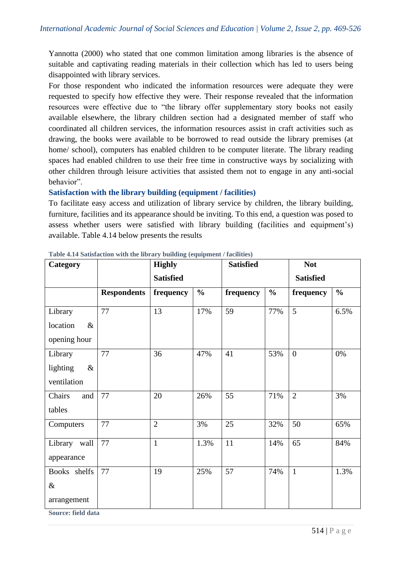Yannotta (2000) who stated that one common limitation among libraries is the absence of suitable and captivating reading materials in their collection which has led to users being disappointed with library services.

For those respondent who indicated the information resources were adequate they were requested to specify how effective they were. Their response revealed that the information resources were effective due to "the library offer supplementary story books not easily available elsewhere, the library children section had a designated member of staff who coordinated all children services, the information resources assist in craft activities such as drawing, the books were available to be borrowed to read outside the library premises (at home/ school), computers has enabled children to be computer literate. The library reading spaces had enabled children to use their free time in constructive ways by socializing with other children through leisure activities that assisted them not to engage in any anti-social behavior".

### **Satisfaction with the library building (equipment / facilities)**

To facilitate easy access and utilization of library service by children, the library building, furniture, facilities and its appearance should be inviting. To this end, a question was posed to assess whether users were satisfied with library building (facilities and equipment's) available. Table 4.14 below presents the results

| Category                                                 |                    | <b>Highly</b>    |               | <b>Satisfied</b> |               | <b>Not</b>       |               |
|----------------------------------------------------------|--------------------|------------------|---------------|------------------|---------------|------------------|---------------|
|                                                          |                    | <b>Satisfied</b> |               |                  |               | <b>Satisfied</b> |               |
|                                                          | <b>Respondents</b> | frequency        | $\frac{0}{0}$ | frequency        | $\frac{0}{0}$ | frequency        | $\frac{0}{0}$ |
| Library                                                  | 77                 | 13               | 17%           | 59               | 77%           | 5                | 6.5%          |
| location<br>$\&$                                         |                    |                  |               |                  |               |                  |               |
| opening hour                                             |                    |                  |               |                  |               |                  |               |
| Library                                                  | 77                 | 36               | 47%           | 41               | 53%           | $\overline{0}$   | 0%            |
| lighting<br>$\&$                                         |                    |                  |               |                  |               |                  |               |
| ventilation                                              |                    |                  |               |                  |               |                  |               |
| Chairs<br>and                                            | 77                 | 20               | 26%           | 55               | 71%           | $\overline{2}$   | 3%            |
| tables                                                   |                    |                  |               |                  |               |                  |               |
| Computers                                                | 77                 | $\overline{2}$   | 3%            | 25               | 32%           | 50               | 65%           |
| Library wall                                             | $77\,$             | $\mathbf{1}$     | 1.3%          | 11               | 14%           | 65               | 84%           |
| appearance                                               |                    |                  |               |                  |               |                  |               |
| Books shelfs                                             | 77                 | 19               | 25%           | 57               | 74%           | $\mathbf{1}$     | 1.3%          |
| $\&$                                                     |                    |                  |               |                  |               |                  |               |
| arrangement                                              |                    |                  |               |                  |               |                  |               |
| $\mathbf{r}$ and $\mathbf{r}$ and $\mathbf{r}$<br>$\sim$ |                    |                  |               |                  |               |                  |               |

**Table 4.14 Satisfaction with the library building (equipment / facilities)**

**Source: field data**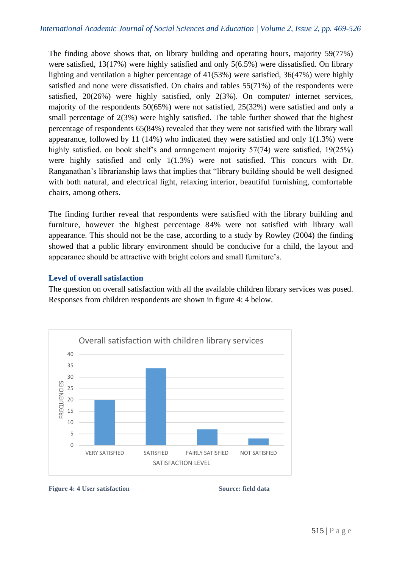The finding above shows that, on library building and operating hours, majority 59(77%) were satisfied, 13(17%) were highly satisfied and only 5(6.5%) were dissatisfied. On library lighting and ventilation a higher percentage of 41(53%) were satisfied, 36(47%) were highly satisfied and none were dissatisfied. On chairs and tables 55(71%) of the respondents were satisfied, 20(26%) were highly satisfied, only 2(3%). On computer/ internet services, majority of the respondents 50(65%) were not satisfied, 25(32%) were satisfied and only a small percentage of 2(3%) were highly satisfied. The table further showed that the highest percentage of respondents 65(84%) revealed that they were not satisfied with the library wall appearance, followed by 11 (14%) who indicated they were satisfied and only 1(1.3%) were highly satisfied. on book shelf's and arrangement majority 57(74) were satisfied, 19(25%) were highly satisfied and only 1(1.3%) were not satisfied. This concurs with Dr. Ranganathan's librarianship laws that implies that "library building should be well designed with both natural, and electrical light, relaxing interior, beautiful furnishing, comfortable chairs, among others.

The finding further reveal that respondents were satisfied with the library building and furniture, however the highest percentage 84% were not satisfied with library wall appearance. This should not be the case, according to a study by Rowley (2004) the finding showed that a public library environment should be conducive for a child, the layout and appearance should be attractive with bright colors and small furniture's.

# **Level of overall satisfaction**

The question on overall satisfaction with all the available children library services was posed. Responses from children respondents are shown in figure 4: 4 below.



#### **Figure 4: 4 User satisfaction Source: field data**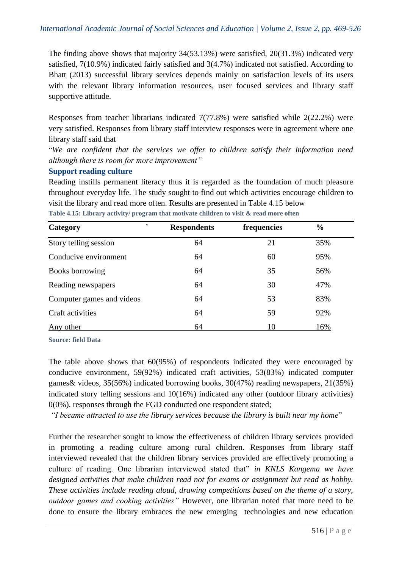The finding above shows that majority 34(53.13%) were satisfied, 20(31.3%) indicated very satisfied, 7(10.9%) indicated fairly satisfied and 3(4.7%) indicated not satisfied. According to Bhatt (2013) successful library services depends mainly on satisfaction levels of its users with the relevant library information resources, user focused services and library staff supportive attitude.

Responses from teacher librarians indicated 7(77.8%) were satisfied while 2(22.2%) were very satisfied. Responses from library staff interview responses were in agreement where one library staff said that

"*We are confident that the services we offer to children satisfy their information need although there is room for more improvement"*

### **Support reading culture**

Reading instills permanent literacy thus it is regarded as the foundation of much pleasure throughout everyday life. The study sought to find out which activities encourage children to visit the library and read more often. Results are presented in Table 4.15 below **Table 4.15: Library activity/ program that motivate children to visit & read more often**

| $\overline{\phantom{0}}$<br>Category | <b>Respondents</b> | frequencies | $\frac{0}{0}$ |  |
|--------------------------------------|--------------------|-------------|---------------|--|
| Story telling session                | 64                 | 21          | 35%           |  |
| Conducive environment                | 64                 | 60          | 95%           |  |
| Books borrowing                      | 64                 | 35          | 56%           |  |
| Reading newspapers                   | 64                 | 30          | 47%           |  |
| Computer games and videos            | 64                 | 53          | 83%           |  |
| Craft activities                     | 64                 | 59          | 92%           |  |
| Any other                            | 64                 | 10          | 16%           |  |

**Source: field Data**

The table above shows that 60(95%) of respondents indicated they were encouraged by conducive environment, 59(92%) indicated craft activities, 53(83%) indicated computer games& videos, 35(56%) indicated borrowing books, 30(47%) reading newspapers, 21(35%) indicated story telling sessions and 10(16%) indicated any other (outdoor library activities) 0(0%). responses through the FGD conducted one respondent stated;

*"I became attracted to use the library services because the library is built near my home*"

Further the researcher sought to know the effectiveness of children library services provided in promoting a reading culture among rural children. Responses from library staff interviewed revealed that the children library services provided are effectively promoting a culture of reading. One librarian interviewed stated that" *in KNLS Kangema we have designed activities that make children read not for exams or assignment but read as hobby. These activities include reading aloud, drawing competitions based on the theme of a story, outdoor games and cooking activities"* However, one librarian noted that more need to be done to ensure the library embraces the new emerging technologies and new education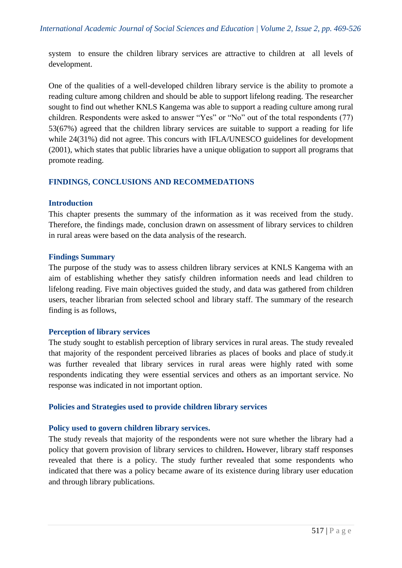system to ensure the children library services are attractive to children at all levels of development.

One of the qualities of a well-developed children library service is the ability to promote a reading culture among children and should be able to support lifelong reading. The researcher sought to find out whether KNLS Kangema was able to support a reading culture among rural children. Respondents were asked to answer "Yes" or "No" out of the total respondents (77) 53(67%) agreed that the children library services are suitable to support a reading for life while 24(31%) did not agree. This concurs with IFLA/UNESCO guidelines for development (2001), which states that public libraries have a unique obligation to support all programs that promote reading.

### **FINDINGS, CONCLUSIONS AND RECOMMEDATIONS**

#### **Introduction**

This chapter presents the summary of the information as it was received from the study. Therefore, the findings made, conclusion drawn on assessment of library services to children in rural areas were based on the data analysis of the research.

#### **Findings Summary**

The purpose of the study was to assess children library services at KNLS Kangema with an aim of establishing whether they satisfy children information needs and lead children to lifelong reading. Five main objectives guided the study, and data was gathered from children users, teacher librarian from selected school and library staff. The summary of the research finding is as follows,

### **Perception of library services**

The study sought to establish perception of library services in rural areas. The study revealed that majority of the respondent perceived libraries as places of books and place of study.it was further revealed that library services in rural areas were highly rated with some respondents indicating they were essential services and others as an important service. No response was indicated in not important option.

### **Policies and Strategies used to provide children library services**

### **Policy used to govern children library services.**

The study reveals that majority of the respondents were not sure whether the library had a policy that govern provision of library services to children**.** However, library staff responses revealed that there is a policy. The study further revealed that some respondents who indicated that there was a policy became aware of its existence during library user education and through library publications.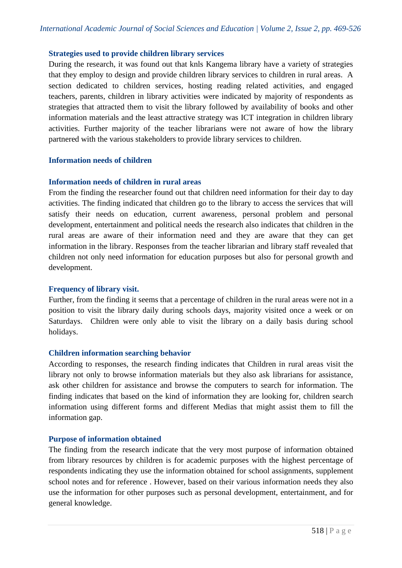### **Strategies used to provide children library services**

During the research, it was found out that knls Kangema library have a variety of strategies that they employ to design and provide children library services to children in rural areas. A section dedicated to children services, hosting reading related activities, and engaged teachers, parents, children in library activities were indicated by majority of respondents as strategies that attracted them to visit the library followed by availability of books and other information materials and the least attractive strategy was ICT integration in children library activities. Further majority of the teacher librarians were not aware of how the library partnered with the various stakeholders to provide library services to children.

### **Information needs of children**

### **Information needs of children in rural areas**

From the finding the researcher found out that children need information for their day to day activities. The finding indicated that children go to the library to access the services that will satisfy their needs on education, current awareness, personal problem and personal development, entertainment and political needs the research also indicates that children in the rural areas are aware of their information need and they are aware that they can get information in the library. Responses from the teacher librarian and library staff revealed that children not only need information for education purposes but also for personal growth and development.

### **Frequency of library visit.**

Further, from the finding it seems that a percentage of children in the rural areas were not in a position to visit the library daily during schools days, majority visited once a week or on Saturdays. Children were only able to visit the library on a daily basis during school holidays.

### **Children information searching behavior**

According to responses, the research finding indicates that Children in rural areas visit the library not only to browse information materials but they also ask librarians for assistance, ask other children for assistance and browse the computers to search for information. The finding indicates that based on the kind of information they are looking for, children search information using different forms and different Medias that might assist them to fill the information gap.

### **Purpose of information obtained**

The finding from the research indicate that the very most purpose of information obtained from library resources by children is for academic purposes with the highest percentage of respondents indicating they use the information obtained for school assignments, supplement school notes and for reference . However, based on their various information needs they also use the information for other purposes such as personal development, entertainment, and for general knowledge.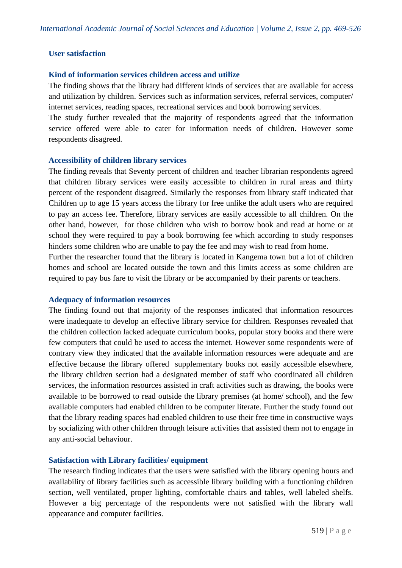### **User satisfaction**

### **Kind of information services children access and utilize**

The finding shows that the library had different kinds of services that are available for access and utilization by children. Services such as information services, referral services, computer/ internet services, reading spaces, recreational services and book borrowing services.

The study further revealed that the majority of respondents agreed that the information service offered were able to cater for information needs of children. However some respondents disagreed.

### **Accessibility of children library services**

The finding reveals that Seventy percent of children and teacher librarian respondents agreed that children library services were easily accessible to children in rural areas and thirty percent of the respondent disagreed. Similarly the responses from library staff indicated that Children up to age 15 years access the library for free unlike the adult users who are required to pay an access fee. Therefore, library services are easily accessible to all children. On the other hand, however, for those children who wish to borrow book and read at home or at school they were required to pay a book borrowing fee which according to study responses hinders some children who are unable to pay the fee and may wish to read from home.

Further the researcher found that the library is located in Kangema town but a lot of children homes and school are located outside the town and this limits access as some children are required to pay bus fare to visit the library or be accompanied by their parents or teachers.

### **Adequacy of information resources**

The finding found out that majority of the responses indicated that information resources were inadequate to develop an effective library service for children. Responses revealed that the children collection lacked adequate curriculum books, popular story books and there were few computers that could be used to access the internet. However some respondents were of contrary view they indicated that the available information resources were adequate and are effective because the library offered supplementary books not easily accessible elsewhere, the library children section had a designated member of staff who coordinated all children services, the information resources assisted in craft activities such as drawing, the books were available to be borrowed to read outside the library premises (at home/ school), and the few available computers had enabled children to be computer literate. Further the study found out that the library reading spaces had enabled children to use their free time in constructive ways by socializing with other children through leisure activities that assisted them not to engage in any anti-social behaviour.

### **Satisfaction with Library facilities/ equipment**

The research finding indicates that the users were satisfied with the library opening hours and availability of library facilities such as accessible library building with a functioning children section, well ventilated, proper lighting, comfortable chairs and tables, well labeled shelfs. However a big percentage of the respondents were not satisfied with the library wall appearance and computer facilities.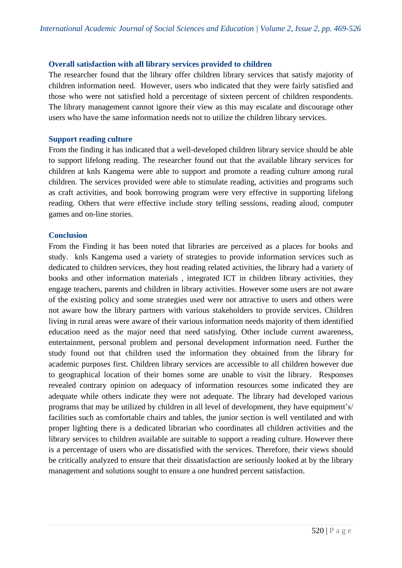#### **Overall satisfaction with all library services provided to children**

The researcher found that the library offer children library services that satisfy majority of children information need. However, users who indicated that they were fairly satisfied and those who were not satisfied hold a percentage of sixteen percent of children respondents. The library management cannot ignore their view as this may escalate and discourage other users who have the same information needs not to utilize the children library services.

#### **Support reading culture**

From the finding it has indicated that a well-developed children library service should be able to support lifelong reading. The researcher found out that the available library services for children at knls Kangema were able to support and promote a reading culture among rural children. The services provided were able to stimulate reading, activities and programs such as craft activities, and book borrowing program were very effective in supporting lifelong reading. Others that were effective include story telling sessions, reading aloud, computer games and on-line stories.

#### **Conclusion**

From the Finding it has been noted that libraries are perceived as a places for books and study. knls Kangema used a variety of strategies to provide information services such as dedicated to children services, they host reading related activities, the library had a variety of books and other information materials , integrated ICT in children library activities, they engage teachers, parents and children in library activities. However some users are not aware of the existing policy and some strategies used were not attractive to users and others were not aware how the library partners with various stakeholders to provide services. Children living in rural areas were aware of their various information needs majority of them identified education need as the major need that need satisfying. Other include current awareness, entertainment, personal problem and personal development information need. Further the study found out that children used the information they obtained from the library for academic purposes first. Children library services are accessible to all children however due to geographical location of their homes some are unable to visit the library. Responses revealed contrary opinion on adequacy of information resources some indicated they are adequate while others indicate they were not adequate. The library had developed various programs that may be utilized by children in all level of development, they have equipment's/ facilities such as comfortable chairs and tables, the junior section is well ventilated and with proper lighting there is a dedicated librarian who coordinates all children activities and the library services to children available are suitable to support a reading culture. However there is a percentage of users who are dissatisfied with the services. Therefore, their views should be critically analyzed to ensure that their dissatisfaction are seriously looked at by the library management and solutions sought to ensure a one hundred percent satisfaction.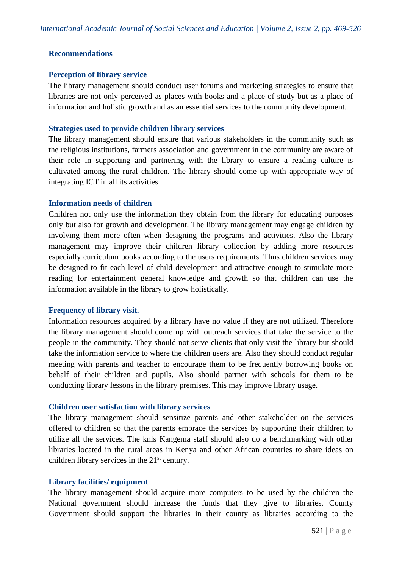### **Recommendations**

#### **Perception of library service**

The library management should conduct user forums and marketing strategies to ensure that libraries are not only perceived as places with books and a place of study but as a place of information and holistic growth and as an essential services to the community development.

#### **Strategies used to provide children library services**

The library management should ensure that various stakeholders in the community such as the religious institutions, farmers association and government in the community are aware of their role in supporting and partnering with the library to ensure a reading culture is cultivated among the rural children. The library should come up with appropriate way of integrating ICT in all its activities

#### **Information needs of children**

Children not only use the information they obtain from the library for educating purposes only but also for growth and development. The library management may engage children by involving them more often when designing the programs and activities. Also the library management may improve their children library collection by adding more resources especially curriculum books according to the users requirements. Thus children services may be designed to fit each level of child development and attractive enough to stimulate more reading for entertainment general knowledge and growth so that children can use the information available in the library to grow holistically.

#### **Frequency of library visit.**

Information resources acquired by a library have no value if they are not utilized. Therefore the library management should come up with outreach services that take the service to the people in the community. They should not serve clients that only visit the library but should take the information service to where the children users are. Also they should conduct regular meeting with parents and teacher to encourage them to be frequently borrowing books on behalf of their children and pupils. Also should partner with schools for them to be conducting library lessons in the library premises. This may improve library usage.

#### **Children user satisfaction with library services**

The library management should sensitize parents and other stakeholder on the services offered to children so that the parents embrace the services by supporting their children to utilize all the services. The knls Kangema staff should also do a benchmarking with other libraries located in the rural areas in Kenya and other African countries to share ideas on children library services in the  $21<sup>st</sup>$  century.

#### **Library facilities/ equipment**

The library management should acquire more computers to be used by the children the National government should increase the funds that they give to libraries. County Government should support the libraries in their county as libraries according to the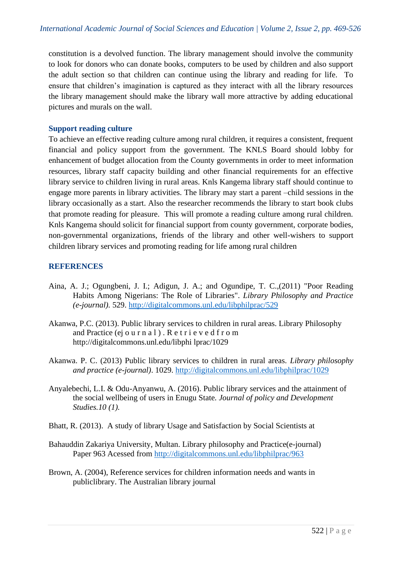constitution is a devolved function. The library management should involve the community to look for donors who can donate books, computers to be used by children and also support the adult section so that children can continue using the library and reading for life. To ensure that children's imagination is captured as they interact with all the library resources the library management should make the library wall more attractive by adding educational pictures and murals on the wall.

### **Support reading culture**

To achieve an effective reading culture among rural children, it requires a consistent, frequent financial and policy support from the government. The KNLS Board should lobby for enhancement of budget allocation from the County governments in order to meet information resources, library staff capacity building and other financial requirements for an effective library service to children living in rural areas. Knls Kangema library staff should continue to engage more parents in library activities. The library may start a parent –child sessions in the library occasionally as a start. Also the researcher recommends the library to start book clubs that promote reading for pleasure. This will promote a reading culture among rural children. Knls Kangema should solicit for financial support from county government, corporate bodies, non-governmental organizations, friends of the library and other well-wishers to support children library services and promoting reading for life among rural children

# **REFERENCES**

- Aina, A. J.; Ogungbeni, J. I.; Adigun, J. A.; and Ogundipe, T. C.,(2011) "Poor Reading Habits Among Nigerians: The Role of Libraries". *Library Philosophy and Practice (e-journal).* 529.<http://digitalcommons.unl.edu/libphilprac/529>
- Akanwa, P.C. (2013). Public library services to children in rural areas. Library Philosophy and Practice (ej ourn a l). Retrieved from http://digitalcommons.unl.edu/libphi lprac/1029
- Akanwa. P. C. (2013) Public library services to children in rural areas. *Library philosophy and practice (e-journal)*. 1029.<http://digitalcommons.unl.edu/libphilprac/1029>
- Anyalebechi, L.I. & Odu-Anyanwu, A. (2016). Public library services and the attainment of the social wellbeing of users in Enugu State*. Journal of policy and Development Studies.10 (1).*
- Bhatt, R. (2013). A study of library Usage and Satisfaction by Social Scientists at
- Bahauddin Zakariya University, Multan. Library philosophy and Practice(e-journal) Paper 963 Acessed from<http://digitalcommons.unl.edu/libphilprac/963>
- Brown, A. (2004), Reference services for children information needs and wants in publiclibrary. The Australian library journal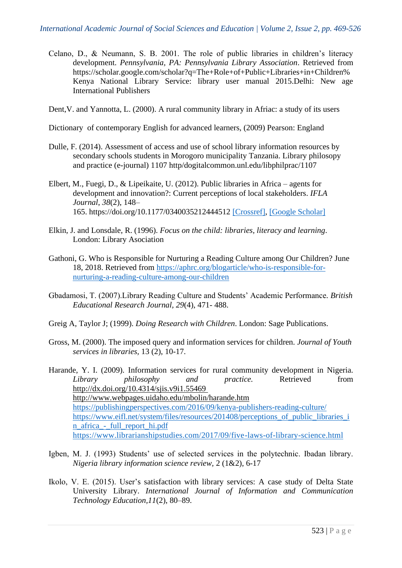- Celano, D., & Neumann, S. B. 2001. The role of public libraries in children's literacy development. *Pennsylvania, PA: Pennsylvania Library Association*. Retrieved from https://scholar.google.com/scholar?q=The+Role+of+Public+Libraries+in+Children% Kenya National Library Service: library user manual 2015.Delhi: New age International Publishers
- Dent,V. and Yannotta, L. (2000). A rural community library in Afriac: a study of its users
- Dictionary of contemporary English for advanced learners, (2009) Pearson: England
- Dulle, F. (2014). Assessment of access and use of school library information resources by secondary schools students in Morogoro municipality Tanzania. Library philosopy and practice (e-journal) 1107 http/dogitalcommon.unl.edu/libphilprac/1107
- Elbert, M., Fuegi, D., & Lipeikaite, U. (2012). Public libraries in Africa agents for development and innovation?: Current perceptions of local stakeholders. *IFLA Journal*, *38*(2), 148– 165. https://doi.org/10.1177/0340035212444512 [\[Crossref\],](https://www.tandfonline.com/servlet/linkout?suffix=CIT0016&dbid=16&doi=10.1080%2F10572317.2020.1840002&key=10.1177%2F0340035212444512) [\[Google Scholar\]](http://scholar.google.com/scholar_lookup?hl=en&volume=38&publication_year=2012&pages=148-165&issue=2&author=M.+Elbert&author=D.+Fuegi&author=U.+Lipeikaite&title=Public+libraries+in+Africa+%E2%80%93+agents+for+development+and+innovation%3F%3A+Current+perceptions+of+local+stakeholders&doi=https%3A%2F%2Fdoi.org%2F10.1177%2F0340035212444512)
- Elkin, J. and Lonsdale, R. (1996). *Focus on the child: libraries, literacy and learning*. London: Library Asociation
- Gathoni, G. Who is Responsible for Nurturing a Reading Culture among Our Children? June 18, 2018. Retrieved from [https://aphrc.org/blogarticle/who-is-responsible-for](https://aphrc.org/blogarticle/who-is-responsible-for-nurturing-a-reading-culture-among-our-children)[nurturing-a-reading-culture-among-our-children](https://aphrc.org/blogarticle/who-is-responsible-for-nurturing-a-reading-culture-among-our-children)
- Gbadamosi, T. (2007).Library Reading Culture and Students' Academic Performance*. British Educational Research Journal, 29*(4), 471- 488.
- Greig A, Taylor J; (1999). *Doing Research with Children*. London: Sage Publications.
- Gross, M. (2000). The imposed query and information services for children. *Journal of Youth services in libraries,* 13 (2), 10-17.
- Harande, Y. I. (2009). Information services for rural community development in Nigeria. *Library philosophy and practice.* Retrieved from <http://dx.doi.org/10.4314/sjis.v9i1.55469> <http://www.webpages.uidaho.edu/mbolin/harande.htm> <https://publishingperspectives.com/2016/09/kenya-publishers-reading-culture/> [https://www.eifl.net/system/files/resources/201408/perceptions\\_of\\_public\\_libraries\\_i](https://www.eifl.net/system/files/resources/201408/perceptions_of_public_libraries_in_africa_-_full_report_hi.pdf) [n\\_africa\\_-\\_full\\_report\\_hi.pdf](https://www.eifl.net/system/files/resources/201408/perceptions_of_public_libraries_in_africa_-_full_report_hi.pdf) <https://www.librarianshipstudies.com/2017/09/five-laws-of-library-science.html>
- Igben, M. J. (1993) Students' use of selected services in the polytechnic. Ibadan library. *Nigeria library information science review,* 2 (1&2), 6-17
- Ikolo, V. E. (2015). User's satisfaction with library services: A case study of Delta State University Library. *International Journal of Information and Communication Technology Education,11*(2), 80–89.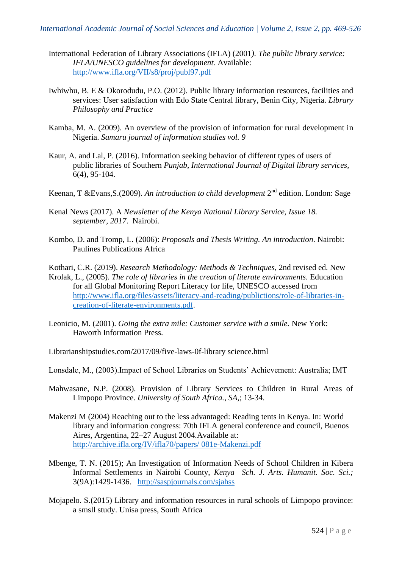- International Federation of Library Associations (IFLA) (2001*). The public library service: IFLA/UNESCO guidelines for development.* Available: <http://www.ifla.org/VII/s8/proj/publ97.pdf>
- Iwhiwhu, B. E & Okorodudu, P.O. (2012). Public library information resources, facilities and services: User satisfaction with Edo State Central library, Benin City, Nigeria. *Library Philosophy and Practice*
- Kamba, M. A. (2009). An overview of the provision of information for rural development in Nigeria. *Samaru journal of information studies vol. 9*
- Kaur, A. and Lal, P. (2016). Information seeking behavior of different types of users of public libraries of Southern *Punjab, International Journal of Digital library services,* 6(4), 95-104.
- Keenan, T & Evans, S. (2009). An introduction to child development 2<sup>nd</sup> edition. London: Sage
- Kenal News (2017). A *Newsletter of the Kenya National Library Service, Issue 18. september, 2017*. Nairobi.
- Kombo, D. and Tromp, L. (2006): *Proposals and Thesis Writing. An introduction*. Nairobi: Paulines Publications Africa
- Kothari, C.R. (2019). *Research Methodology: Methods & Techniques*, 2nd revised ed. New
- Krolak, L., (2005). *The role of libraries in the creation of literate environments.* Education for all Global Monitoring Report Literacy for life, UNESCO accessed from [http://www.ifla.org/files/assets/literacy-and-reading/publictions/role-of-libraries-in](http://www.ifla.org/files/assets/literacy-and-reading/publictions/role-of-libraries-in-creation-of-literate-environments.pdf)[creation-of-literate-environments.pdf.](http://www.ifla.org/files/assets/literacy-and-reading/publictions/role-of-libraries-in-creation-of-literate-environments.pdf)
- Leonicio, M. (2001). *Going the extra mile: Customer service with a smile.* New York: Haworth Information Press.
- Librarianshipstudies.com/2017/09/five-laws-0f-library science.html
- Lonsdale, M., (2003).Impact of School Libraries on Students' Achievement: Australia; IMT
- Mahwasane, N.P. (2008). Provision of Library Services to Children in Rural Areas of Limpopo Province. *University of South Africa., SA,*; 13-34.
- Makenzi M (2004) Reaching out to the less advantaged: Reading tents in Kenya. In: World library and information congress: 70th IFLA general conference and council, Buenos Aires, Argentina, 22–27 August 2004.Available at: [http://archive.ifla.org/IV/ifla70/papers/ 081e-Makenzi.pdf](http://archive.ifla.org/IV/ifla70/papers/081e-Makenzi.pdf)
- Mbenge, T. N. (2015); An Investigation of Information Needs of School Children in Kibera Informal Settlements in Nairobi County, *Kenya Sch. J. Arts. Humanit. Soc. Sci.;* 3(9A):1429-1436. <http://saspjournals.com/sjahss>
- Mojapelo. S.(2015) Library and information resources in rural schools of Limpopo province: a smsll study. Unisa press, South Africa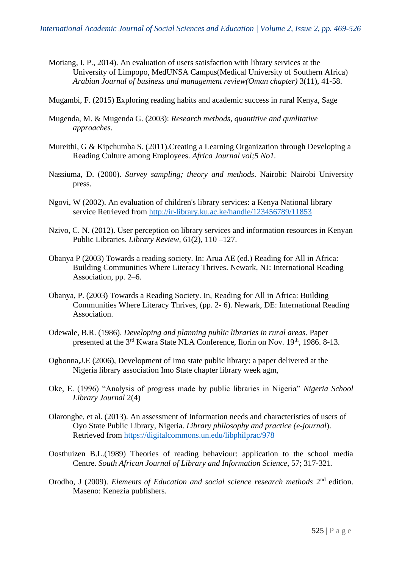- Motiang, I. P., 2014). An evaluation of users satisfaction with library services at the University of Limpopo, MedUNSA Campus(Medical University of Southern Africa) *Arabian Journal of business and management review(Oman chapter)* 3(11), 41-58.
- Mugambi, F. (2015) Exploring reading habits and academic success in rural Kenya, Sage
- Mugenda, M. & Mugenda G. (2003): *Research methods, quantitive and qunlitative approaches.*
- Mureithi, G & Kipchumba S. (2011).Creating a Learning Organization through Developing a Reading Culture among Employees. *Africa Journal vol;5 No1.*
- Nassiuma, D. (2000). *Survey sampling; theory and methods*. Nairobi: Nairobi University press.
- Ngovi, W (2002). An evaluation of children's library services: a Kenya National library service Retrieved from<http://ir-library.ku.ac.ke/handle/123456789/11853>
- Nzivo, C. N. (2012). User perception on library services and information resources in Kenyan Public Libraries. *Library Review,* 61(2), 110 –127.
- Obanya P (2003) Towards a reading society. In: Arua AE (ed.) Reading for All in Africa: Building Communities Where Literacy Thrives. Newark, NJ: International Reading Association, pp. 2–6.
- Obanya, P. (2003) Towards a Reading Society. In, Reading for All in Africa: Building Communities Where Literacy Thrives, (pp. 2- 6). Newark, DE: International Reading Association.
- Odewale, B.R. (1986). *Developing and planning public libraries in rural areas.* Paper presented at the 3<sup>rd</sup> Kwara State NLA Conference, Ilorin on Nov. 19<sup>th</sup>, 1986. 8-13.
- Ogbonna,J.E (2006), Development of Imo state public library: a paper delivered at the Nigeria library association Imo State chapter library week agm,
- Oke, E. (1996) "Analysis of progress made by public libraries in Nigeria" *Nigeria School Library Journal* 2(4)
- Olarongbe, et al. (2013). An assessment of Information needs and characteristics of users of Oyo State Public Library, Nigeria. *Library philosophy and practice (e-journal*). Retrieved from<https://digitalcommons.un.edu/libphilprac/978>
- Oosthuizen B.L.(1989) Theories of reading behaviour: application to the school media Centre. *South African Journal of Library and Information Science*, 57; 317-321.
- Orodho, J (2009). *Elements of Education and social science research methods* 2<sup>nd</sup> edition. Maseno: Kenezia publishers.